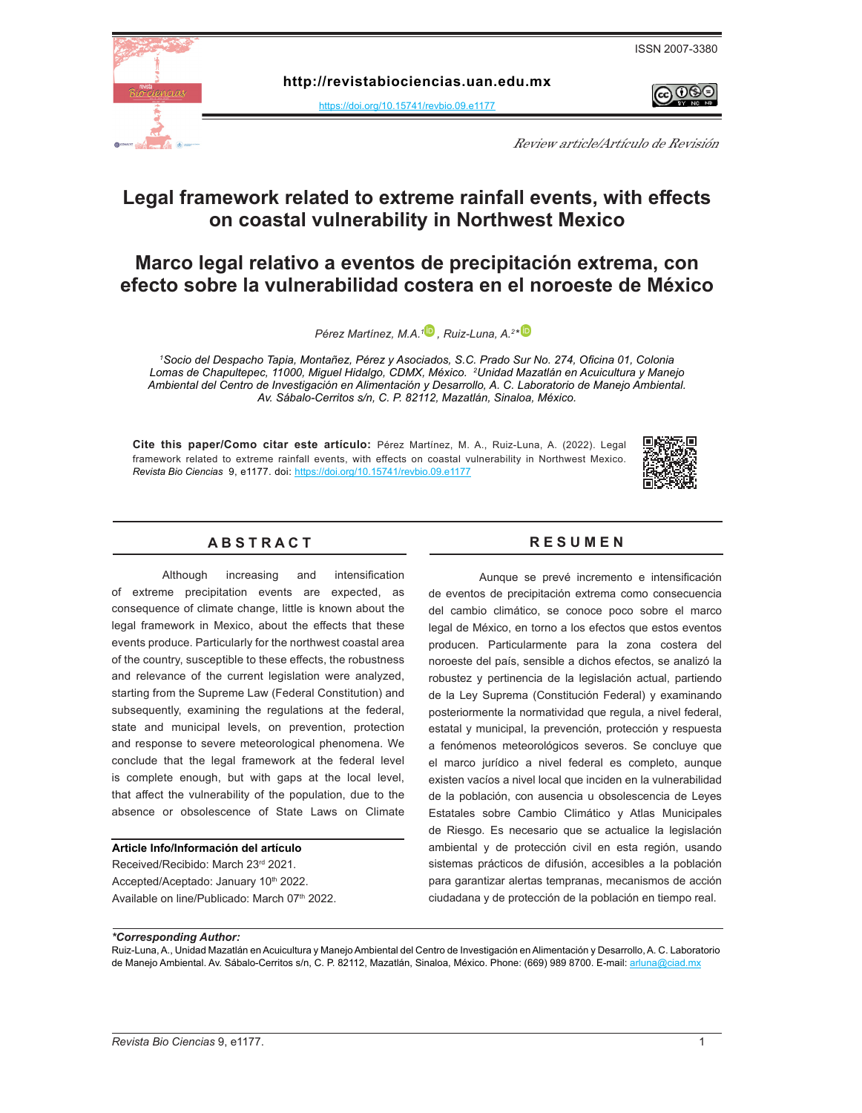

 $\Theta$ 



**http:[/](https://doi.org/10.15741/revbio.07.e875 )/revistabiociencias.uan.edu.mx** 

<https://doi.org/10.15741/revbio.09.e1177>

Review article/Artículo de Revisión

### **Legal framework related to extreme rainfall events, with effects on coastal vulnerability in Northwest Mexico**

### **Marco legal relativo a eventos de precipitación extrema, con efecto sobre la vulnerabilidad costera en el noroeste de México**

*Pérez Martínez, M.A.[1 ,](https://orcid.org/
0000-0002-3846-5845) Ruiz-Luna, A.2 [\\*](https://orcid.org/
0000-0001-6878-0929)* 

*1 Socio del Despacho Tapia, Montañez, Pérez y Asociados, S.C. Prado Sur No. 274, Oficina 01, Colonia Lomas de Chapultepec, 11000, Miguel Hidalgo, CDMX, México. <sup>2</sup> Unidad Mazatlán en Acuicultura y Manejo Ambiental del Centro de Investigación en Alimentación y Desarrollo, A. C. Laboratorio de Manejo Ambiental. Av. Sábalo-Cerritos s/n, C. P. 82112, Mazatlán, Sinaloa, México.* 

**Cite this paper/Como citar este artículo:** Pérez Martínez, M. A., Ruiz-Luna, A. (2022). Legal framework related to extreme rainfall events, with effects on coastal vulnerability in Northwest Mexico. *[Revista Bio Ciencias](doi: https://doi.org/10.15741/revbio.08.e982
)*99, e1177. doi: <https://doi.org/10.15741/revbio.09.e1177>



#### **A B S T R A C T R E S U M E N**

Although increasing and intensification of extreme precipitation events are expected, as consequence of climate change, little is known about the legal framework in Mexico, about the effects that these events produce. Particularly for the northwest coastal area of the country, susceptible to these effects, the robustness and relevance of the current legislation were analyzed, starting from the Supreme Law (Federal Constitution) and subsequently, examining the regulations at the federal, state and municipal levels, on prevention, protection and response to severe meteorological phenomena. We conclude that the legal framework at the federal level is complete enough, but with gaps at the local level, that affect the vulnerability of the population, due to the absence or obsolescence of State Laws on Climate

#### **Article Info/Información del artículo**

Received/Recibido: March 23rd 2021. Accepted/Aceptado: January 10<sup>th</sup> 2022. Available on line/Publicado: March 07th 2022.

Aunque se prevé incremento e intensificación de eventos de precipitación extrema como consecuencia del cambio climático, se conoce poco sobre el marco legal de México, en torno a los efectos que estos eventos producen. Particularmente para la zona costera del noroeste del país, sensible a dichos efectos, se analizó la robustez y pertinencia de la legislación actual, partiendo de la Ley Suprema (Constitución Federal) y examinando posteriormente la normatividad que regula, a nivel federal, estatal y municipal, la prevención, protección y respuesta a fenómenos meteorológicos severos. Se concluye que el marco jurídico a nivel federal es completo, aunque existen vacíos a nivel local que inciden en la vulnerabilidad de la población, con ausencia u obsolescencia de Leyes Estatales sobre Cambio Climático y Atlas Municipales de Riesgo. Es necesario que se actualice la legislación ambiental y de protección civil en esta región, usando sistemas prácticos de difusión, accesibles a la población para garantizar alertas tempranas, mecanismos de acción ciudadana y de protección de la población en tiempo real.

#### *\*Corresponding Author:*

Ruiz-Luna, A., Unidad Mazatlán en Acuicultura y Manejo Ambiental del Centro de Investigación en Alimentación y Desarrollo, A. C. Laboratorio de Manejo Ambiental. Av. Sábalo-Cerritos s/n, C. P. 82112, Mazatlán, Sinaloa, México. Phone: (669) 989 8700. E-mail: [arluna@ciad.mx](mailto:arluna%40ciad.mx?subject=)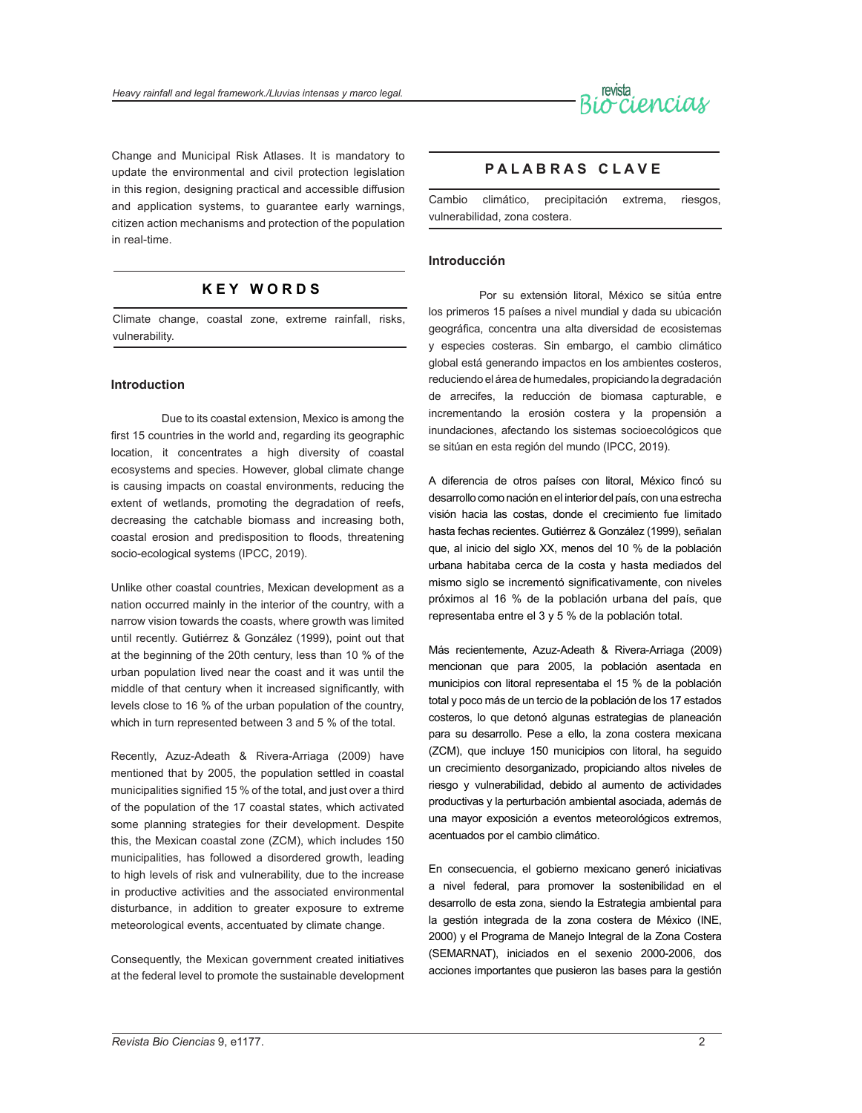

Change and Municipal Risk Atlases. It is mandatory to update the environmental and civil protection legislation in this region, designing practical and accessible diffusion and application systems, to guarantee early warnings, citizen action mechanisms and protection of the population in real-time.

#### **K E Y W O R D S**

Climate change, coastal zone, extreme rainfall, risks, vulnerability.

#### **Introduction**

Due to its coastal extension, Mexico is among the first 15 countries in the world and, regarding its geographic location, it concentrates a high diversity of coastal ecosystems and species. However, global climate change is causing impacts on coastal environments, reducing the extent of wetlands, promoting the degradation of reefs, decreasing the catchable biomass and increasing both, coastal erosion and predisposition to floods, threatening socio-ecological systems (IPCC, 2019).

Unlike other coastal countries, Mexican development as a nation occurred mainly in the interior of the country, with a narrow vision towards the coasts, where growth was limited until recently. Gutiérrez & González (1999), point out that at the beginning of the 20th century, less than 10 % of the urban population lived near the coast and it was until the middle of that century when it increased significantly, with levels close to 16 % of the urban population of the country, which in turn represented between 3 and 5 % of the total.

Recently, Azuz-Adeath & Rivera-Arriaga (2009) have mentioned that by 2005, the population settled in coastal municipalities signified 15 % of the total, and just over a third of the population of the 17 coastal states, which activated some planning strategies for their development. Despite this, the Mexican coastal zone (ZCM), which includes 150 municipalities, has followed a disordered growth, leading to high levels of risk and vulnerability, due to the increase in productive activities and the associated environmental disturbance, in addition to greater exposure to extreme meteorological events, accentuated by climate change.

Consequently, the Mexican government created initiatives at the federal level to promote the sustainable development

#### **P A L A B R A S C L A V E**

Cambio climático, precipitación extrema, riesgos, vulnerabilidad, zona costera.

#### **Introducción**

Por su extensión litoral, México se sitúa entre los primeros 15 países a nivel mundial y dada su ubicación geográfica, concentra una alta diversidad de ecosistemas y especies costeras. Sin embargo, el cambio climático global está generando impactos en los ambientes costeros, reduciendo el área de humedales, propiciando la degradación de arrecifes, la reducción de biomasa capturable, e incrementando la erosión costera y la propensión a inundaciones, afectando los sistemas socioecológicos que se sitúan en esta región del mundo (IPCC, 2019).

A diferencia de otros países con litoral, México fincó su desarrollo como nación en el interior del país, con una estrecha visión hacia las costas, donde el crecimiento fue limitado hasta fechas recientes. Gutiérrez & González (1999), señalan que, al inicio del siglo XX, menos del 10 % de la población urbana habitaba cerca de la costa y hasta mediados del mismo siglo se incrementó significativamente, con niveles próximos al 16 % de la población urbana del país, que representaba entre el 3 y 5 % de la población total.

Más recientemente, Azuz-Adeath & Rivera-Arriaga (2009) mencionan que para 2005, la población asentada en municipios con litoral representaba el 15 % de la población total y poco más de un tercio de la población de los 17 estados costeros, lo que detonó algunas estrategias de planeación para su desarrollo. Pese a ello, la zona costera mexicana (ZCM), que incluye 150 municipios con litoral, ha seguido un crecimiento desorganizado, propiciando altos niveles de riesgo y vulnerabilidad, debido al aumento de actividades productivas y la perturbación ambiental asociada, además de una mayor exposición a eventos meteorológicos extremos, acentuados por el cambio climático.

En consecuencia, el gobierno mexicano generó iniciativas a nivel federal, para promover la sostenibilidad en el desarrollo de esta zona, siendo la Estrategia ambiental para la gestión integrada de la zona costera de México (INE, 2000) y el Programa de Manejo Integral de la Zona Costera (SEMARNAT), iniciados en el sexenio 2000-2006, dos acciones importantes que pusieron las bases para la gestión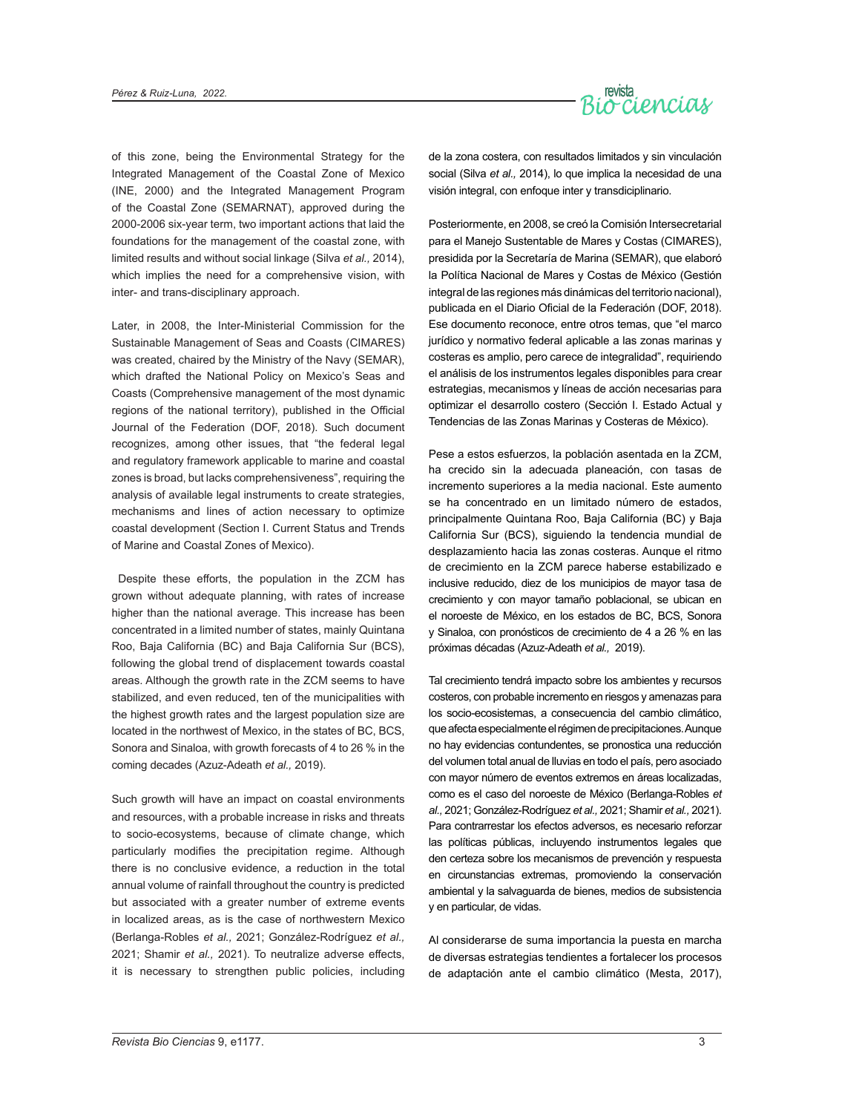

of this zone, being the Environmental Strategy for the Integrated Management of the Coastal Zone of Mexico (INE, 2000) and the Integrated Management Program of the Coastal Zone (SEMARNAT), approved during the 2000-2006 six-year term, two important actions that laid the foundations for the management of the coastal zone, with limited results and without social linkage (Silva *et al.,* 2014), which implies the need for a comprehensive vision, with inter- and trans-disciplinary approach.

Later, in 2008, the Inter-Ministerial Commission for the Sustainable Management of Seas and Coasts (CIMARES) was created, chaired by the Ministry of the Navy (SEMAR), which drafted the National Policy on Mexico's Seas and Coasts (Comprehensive management of the most dynamic regions of the national territory), published in the Official Journal of the Federation (DOF, 2018). Such document recognizes, among other issues, that "the federal legal and regulatory framework applicable to marine and coastal zones is broad, but lacks comprehensiveness", requiring the analysis of available legal instruments to create strategies, mechanisms and lines of action necessary to optimize coastal development (Section I. Current Status and Trends of Marine and Coastal Zones of Mexico).

 Despite these efforts, the population in the ZCM has grown without adequate planning, with rates of increase higher than the national average. This increase has been concentrated in a limited number of states, mainly Quintana Roo, Baja California (BC) and Baja California Sur (BCS), following the global trend of displacement towards coastal areas. Although the growth rate in the ZCM seems to have stabilized, and even reduced, ten of the municipalities with the highest growth rates and the largest population size are located in the northwest of Mexico, in the states of BC, BCS, Sonora and Sinaloa, with growth forecasts of 4 to 26 % in the coming decades (Azuz-Adeath *et al.,* 2019).

Such growth will have an impact on coastal environments and resources, with a probable increase in risks and threats to socio-ecosystems, because of climate change, which particularly modifies the precipitation regime. Although there is no conclusive evidence, a reduction in the total annual volume of rainfall throughout the country is predicted but associated with a greater number of extreme events in localized areas, as is the case of northwestern Mexico (Berlanga-Robles *et al.,* 2021; González-Rodríguez *et al.,*  2021; Shamir *et al.,* 2021). To neutralize adverse effects, it is necessary to strengthen public policies, including de la zona costera, con resultados limitados y sin vinculación social (Silva *et al.,* 2014), lo que implica la necesidad de una visión integral, con enfoque inter y transdiciplinario.

Posteriormente, en 2008, se creó la Comisión Intersecretarial para el Manejo Sustentable de Mares y Costas (CIMARES), presidida por la Secretaría de Marina (SEMAR), que elaboró la Política Nacional de Mares y Costas de México (Gestión integral de las regiones más dinámicas del territorio nacional), publicada en el Diario Oficial de la Federación (DOF, 2018). Ese documento reconoce, entre otros temas, que "el marco jurídico y normativo federal aplicable a las zonas marinas y costeras es amplio, pero carece de integralidad", requiriendo el análisis de los instrumentos legales disponibles para crear estrategias, mecanismos y líneas de acción necesarias para optimizar el desarrollo costero (Sección I. Estado Actual y Tendencias de las Zonas Marinas y Costeras de México).

Pese a estos esfuerzos, la población asentada en la ZCM, ha crecido sin la adecuada planeación, con tasas de incremento superiores a la media nacional. Este aumento se ha concentrado en un limitado número de estados, principalmente Quintana Roo, Baja California (BC) y Baja California Sur (BCS), siguiendo la tendencia mundial de desplazamiento hacia las zonas costeras. Aunque el ritmo de crecimiento en la ZCM parece haberse estabilizado e inclusive reducido, diez de los municipios de mayor tasa de crecimiento y con mayor tamaño poblacional, se ubican en el noroeste de México, en los estados de BC, BCS, Sonora y Sinaloa, con pronósticos de crecimiento de 4 a 26 % en las próximas décadas (Azuz-Adeath *et al.,* 2019).

Tal crecimiento tendrá impacto sobre los ambientes y recursos costeros, con probable incremento en riesgos y amenazas para los socio-ecosistemas, a consecuencia del cambio climático, que afecta especialmente el régimen de precipitaciones. Aunque no hay evidencias contundentes, se pronostica una reducción del volumen total anual de lluvias en todo el país, pero asociado con mayor número de eventos extremos en áreas localizadas, como es el caso del noroeste de México (Berlanga-Robles *et al.,* 2021; González-Rodríguez *et al.,* 2021; Shamir *et al.,* 2021). Para contrarrestar los efectos adversos, es necesario reforzar las políticas públicas, incluyendo instrumentos legales que den certeza sobre los mecanismos de prevención y respuesta en circunstancias extremas, promoviendo la conservación ambiental y la salvaguarda de bienes, medios de subsistencia y en particular, de vidas.

Al considerarse de suma importancia la puesta en marcha de diversas estrategias tendientes a fortalecer los procesos de adaptación ante el cambio climático (Mesta, 2017),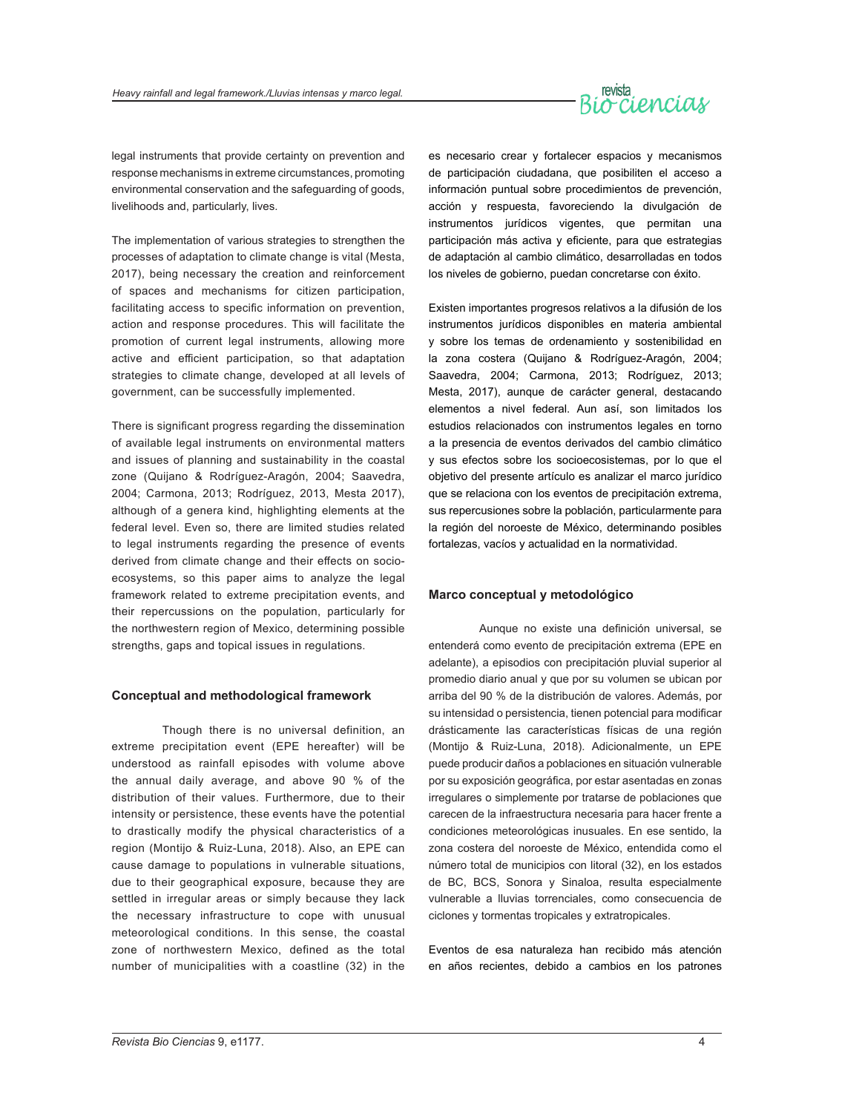# revista<br>Occiencias

legal instruments that provide certainty on prevention and response mechanisms in extreme circumstances, promoting environmental conservation and the safeguarding of goods, livelihoods and, particularly, lives.

The implementation of various strategies to strengthen the processes of adaptation to climate change is vital (Mesta, 2017), being necessary the creation and reinforcement of spaces and mechanisms for citizen participation, facilitating access to specific information on prevention, action and response procedures. This will facilitate the promotion of current legal instruments, allowing more active and efficient participation, so that adaptation strategies to climate change, developed at all levels of government, can be successfully implemented.

There is significant progress regarding the dissemination of available legal instruments on environmental matters and issues of planning and sustainability in the coastal zone (Quijano & Rodríguez-Aragón, 2004; Saavedra, 2004; Carmona, 2013; Rodríguez, 2013, Mesta 2017), although of a genera kind, highlighting elements at the federal level. Even so, there are limited studies related to legal instruments regarding the presence of events derived from climate change and their effects on socioecosystems, so this paper aims to analyze the legal framework related to extreme precipitation events, and their repercussions on the population, particularly for the northwestern region of Mexico, determining possible strengths, gaps and topical issues in regulations.

#### **Conceptual and methodological framework**

Though there is no universal definition, an extreme precipitation event (EPE hereafter) will be understood as rainfall episodes with volume above the annual daily average, and above 90 % of the distribution of their values. Furthermore, due to their intensity or persistence, these events have the potential to drastically modify the physical characteristics of a region (Montijo & Ruiz-Luna, 2018). Also, an EPE can cause damage to populations in vulnerable situations, due to their geographical exposure, because they are settled in irregular areas or simply because they lack the necessary infrastructure to cope with unusual meteorological conditions. In this sense, the coastal zone of northwestern Mexico, defined as the total number of municipalities with a coastline (32) in the

es necesario crear y fortalecer espacios y mecanismos de participación ciudadana, que posibiliten el acceso a información puntual sobre procedimientos de prevención, acción y respuesta, favoreciendo la divulgación de instrumentos jurídicos vigentes, que permitan una participación más activa y eficiente, para que estrategias de adaptación al cambio climático, desarrolladas en todos los niveles de gobierno, puedan concretarse con éxito.

Existen importantes progresos relativos a la difusión de los instrumentos jurídicos disponibles en materia ambiental y sobre los temas de ordenamiento y sostenibilidad en la zona costera (Quijano & Rodríguez-Aragón, 2004; Saavedra, 2004; Carmona, 2013; Rodríguez, 2013; Mesta, 2017), aunque de carácter general, destacando elementos a nivel federal. Aun así, son limitados los estudios relacionados con instrumentos legales en torno a la presencia de eventos derivados del cambio climático y sus efectos sobre los socioecosistemas, por lo que el objetivo del presente artículo es analizar el marco jurídico que se relaciona con los eventos de precipitación extrema, sus repercusiones sobre la población, particularmente para la región del noroeste de México, determinando posibles fortalezas, vacíos y actualidad en la normatividad.

#### **Marco conceptual y metodológico**

Aunque no existe una definición universal, se entenderá como evento de precipitación extrema (EPE en adelante), a episodios con precipitación pluvial superior al promedio diario anual y que por su volumen se ubican por arriba del 90 % de la distribución de valores. Además, por su intensidad o persistencia, tienen potencial para modificar drásticamente las características físicas de una región (Montijo & Ruiz-Luna, 2018). Adicionalmente, un EPE puede producir daños a poblaciones en situación vulnerable por su exposición geográfica, por estar asentadas en zonas irregulares o simplemente por tratarse de poblaciones que carecen de la infraestructura necesaria para hacer frente a condiciones meteorológicas inusuales. En ese sentido, la zona costera del noroeste de México, entendida como el número total de municipios con litoral (32), en los estados de BC, BCS, Sonora y Sinaloa, resulta especialmente vulnerable a lluvias torrenciales, como consecuencia de ciclones y tormentas tropicales y extratropicales.

Eventos de esa naturaleza han recibido más atención en años recientes, debido a cambios en los patrones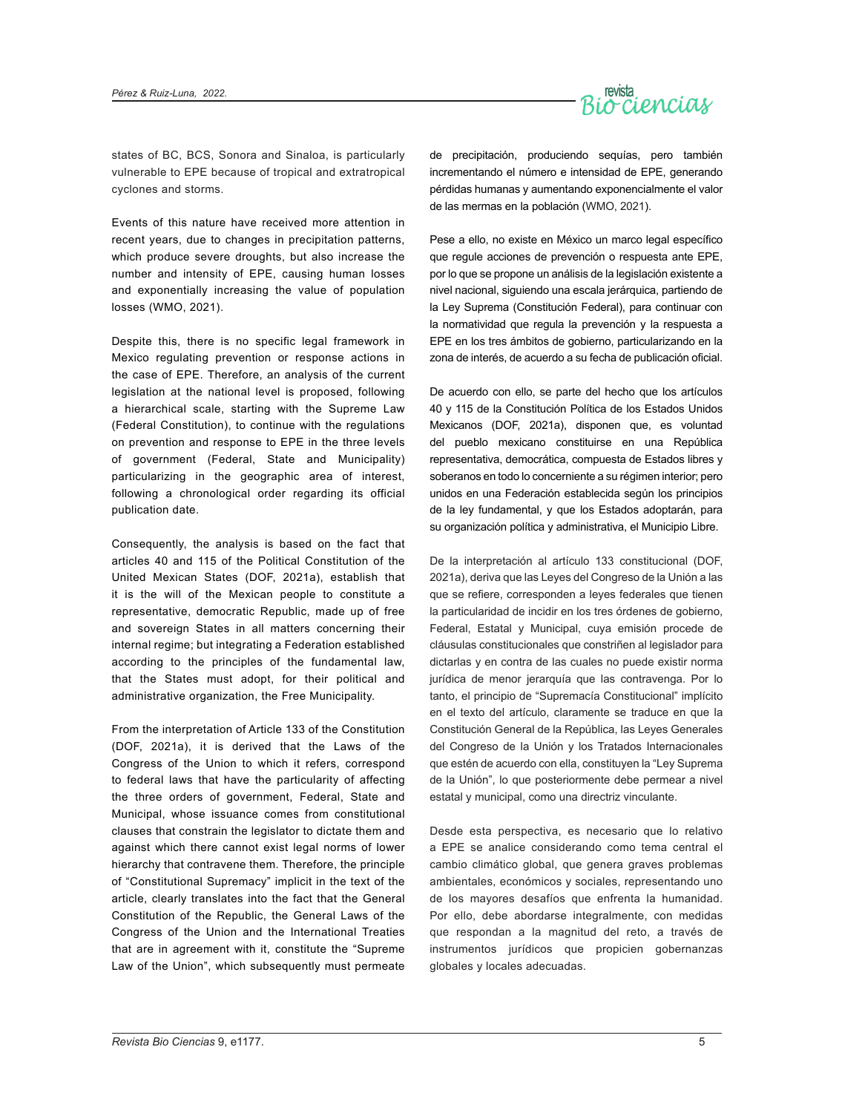

states of BC, BCS, Sonora and Sinaloa, is particularly vulnerable to EPE because of tropical and extratropical cyclones and storms.

Events of this nature have received more attention in recent years, due to changes in precipitation patterns, which produce severe droughts, but also increase the number and intensity of EPE, causing human losses and exponentially increasing the value of population losses (WMO, 2021).

Despite this, there is no specific legal framework in Mexico regulating prevention or response actions in the case of EPE. Therefore, an analysis of the current legislation at the national level is proposed, following a hierarchical scale, starting with the Supreme Law (Federal Constitution), to continue with the regulations on prevention and response to EPE in the three levels of government (Federal, State and Municipality) particularizing in the geographic area of interest, following a chronological order regarding its official publication date.

Consequently, the analysis is based on the fact that articles 40 and 115 of the Political Constitution of the United Mexican States (DOF, 2021a), establish that it is the will of the Mexican people to constitute a representative, democratic Republic, made up of free and sovereign States in all matters concerning their internal regime; but integrating a Federation established according to the principles of the fundamental law, that the States must adopt, for their political and administrative organization, the Free Municipality.

From the interpretation of Article 133 of the Constitution (DOF, 2021a), it is derived that the Laws of the Congress of the Union to which it refers, correspond to federal laws that have the particularity of affecting the three orders of government, Federal, State and Municipal, whose issuance comes from constitutional clauses that constrain the legislator to dictate them and against which there cannot exist legal norms of lower hierarchy that contravene them. Therefore, the principle of "Constitutional Supremacy" implicit in the text of the article, clearly translates into the fact that the General Constitution of the Republic, the General Laws of the Congress of the Union and the International Treaties that are in agreement with it, constitute the "Supreme Law of the Union", which subsequently must permeate

de precipitación, produciendo sequías, pero también incrementando el número e intensidad de EPE, generando pérdidas humanas y aumentando exponencialmente el valor de las mermas en la población (WMO, 2021).

Pese a ello, no existe en México un marco legal específico que regule acciones de prevención o respuesta ante EPE, por lo que se propone un análisis de la legislación existente a nivel nacional, siguiendo una escala jerárquica, partiendo de la Ley Suprema (Constitución Federal), para continuar con la normatividad que regula la prevención y la respuesta a EPE en los tres ámbitos de gobierno, particularizando en la zona de interés, de acuerdo a su fecha de publicación oficial.

De acuerdo con ello, se parte del hecho que los artículos 40 y 115 de la Constitución Política de los Estados Unidos Mexicanos (DOF, 2021a), disponen que, es voluntad del pueblo mexicano constituirse en una República representativa, democrática, compuesta de Estados libres y soberanos en todo lo concerniente a su régimen interior; pero unidos en una Federación establecida según los principios de la ley fundamental, y que los Estados adoptarán, para su organización política y administrativa, el Municipio Libre.

De la interpretación al artículo 133 constitucional (DOF, 2021a), deriva que las Leyes del Congreso de la Unión a las que se refiere, corresponden a leyes federales que tienen la particularidad de incidir en los tres órdenes de gobierno, Federal, Estatal y Municipal, cuya emisión procede de cláusulas constitucionales que constriñen al legislador para dictarlas y en contra de las cuales no puede existir norma jurídica de menor jerarquía que las contravenga. Por lo tanto, el principio de "Supremacía Constitucional" implícito en el texto del artículo, claramente se traduce en que la Constitución General de la República, las Leyes Generales del Congreso de la Unión y los Tratados Internacionales que estén de acuerdo con ella, constituyen la "Ley Suprema de la Unión", lo que posteriormente debe permear a nivel estatal y municipal, como una directriz vinculante.

Desde esta perspectiva, es necesario que lo relativo a EPE se analice considerando como tema central el cambio climático global, que genera graves problemas ambientales, económicos y sociales, representando uno de los mayores desafíos que enfrenta la humanidad. Por ello, debe abordarse integralmente, con medidas que respondan a la magnitud del reto, a través de instrumentos jurídicos que propicien gobernanzas globales y locales adecuadas.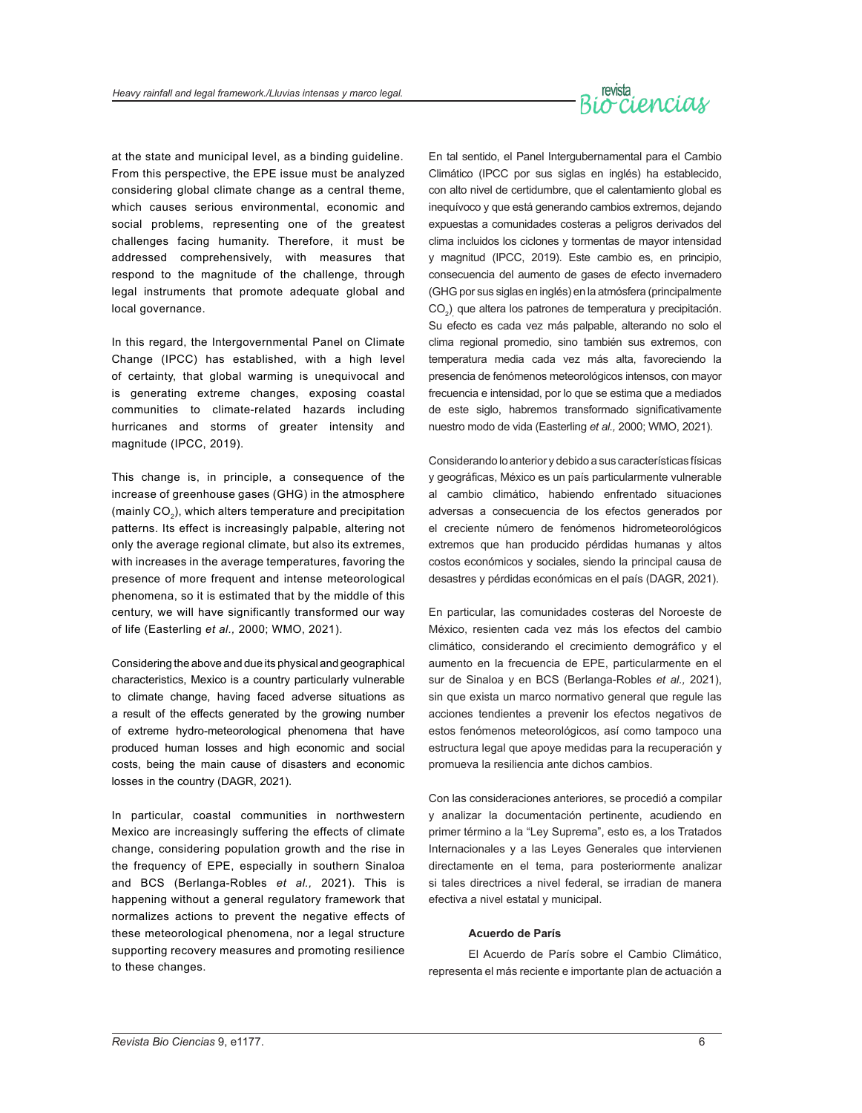# revista<br>O CLENCLOLY

at the state and municipal level, as a binding guideline. From this perspective, the EPE issue must be analyzed considering global climate change as a central theme, which causes serious environmental, economic and social problems, representing one of the greatest challenges facing humanity. Therefore, it must be addressed comprehensively, with measures that respond to the magnitude of the challenge, through legal instruments that promote adequate global and local governance.

In this regard, the Intergovernmental Panel on Climate Change (IPCC) has established, with a high level of certainty, that global warming is unequivocal and is generating extreme changes, exposing coastal communities to climate-related hazards including hurricanes and storms of greater intensity and magnitude (IPCC, 2019).

This change is, in principle, a consequence of the increase of greenhouse gases (GHG) in the atmosphere (mainly CO<sub>2</sub>), which alters temperature and precipitation patterns. Its effect is increasingly palpable, altering not only the average regional climate, but also its extremes, with increases in the average temperatures, favoring the presence of more frequent and intense meteorological phenomena, so it is estimated that by the middle of this century, we will have significantly transformed our way of life (Easterling *et al.,* 2000; WMO, 2021).

Considering the above and due its physical and geographical characteristics, Mexico is a country particularly vulnerable to climate change, having faced adverse situations as a result of the effects generated by the growing number of extreme hydro-meteorological phenomena that have produced human losses and high economic and social costs, being the main cause of disasters and economic losses in the country (DAGR, 2021).

In particular, coastal communities in northwestern Mexico are increasingly suffering the effects of climate change, considering population growth and the rise in the frequency of EPE, especially in southern Sinaloa and BCS (Berlanga-Robles *et al.,* 2021). This is happening without a general regulatory framework that normalizes actions to prevent the negative effects of these meteorological phenomena, nor a legal structure supporting recovery measures and promoting resilience to these changes.

En tal sentido, el Panel Intergubernamental para el Cambio Climático (IPCC por sus siglas en inglés) ha establecido, con alto nivel de certidumbre, que el calentamiento global es inequívoco y que está generando cambios extremos, dejando expuestas a comunidades costeras a peligros derivados del clima incluidos los ciclones y tormentas de mayor intensidad y magnitud (IPCC, 2019). Este cambio es, en principio, consecuencia del aumento de gases de efecto invernadero (GHG por sus siglas en inglés) en la atmósfera (principalmente CO<sub>2</sub>)<sub>,</sub> que altera los patrones de temperatura y precipitación. Su efecto es cada vez más palpable, alterando no solo el clima regional promedio, sino también sus extremos, con temperatura media cada vez más alta, favoreciendo la presencia de fenómenos meteorológicos intensos, con mayor frecuencia e intensidad, por lo que se estima que a mediados de este siglo, habremos transformado significativamente nuestro modo de vida (Easterling *et al.,* 2000; WMO, 2021).

Considerando lo anterior y debido a sus características físicas y geográficas, México es un país particularmente vulnerable al cambio climático, habiendo enfrentado situaciones adversas a consecuencia de los efectos generados por el creciente número de fenómenos hidrometeorológicos extremos que han producido pérdidas humanas y altos costos económicos y sociales, siendo la principal causa de desastres y pérdidas económicas en el país (DAGR, 2021).

En particular, las comunidades costeras del Noroeste de México, resienten cada vez más los efectos del cambio climático, considerando el crecimiento demográfico y el aumento en la frecuencia de EPE, particularmente en el sur de Sinaloa y en BCS (Berlanga-Robles *et al.,* 2021), sin que exista un marco normativo general que regule las acciones tendientes a prevenir los efectos negativos de estos fenómenos meteorológicos, así como tampoco una estructura legal que apoye medidas para la recuperación y promueva la resiliencia ante dichos cambios.

Con las consideraciones anteriores, se procedió a compilar y analizar la documentación pertinente, acudiendo en primer término a la "Ley Suprema", esto es, a los Tratados Internacionales y a las Leyes Generales que intervienen directamente en el tema, para posteriormente analizar si tales directrices a nivel federal, se irradian de manera efectiva a nivel estatal y municipal.

#### **Acuerdo de París**

El Acuerdo de París sobre el Cambio Climático, representa el más reciente e importante plan de actuación a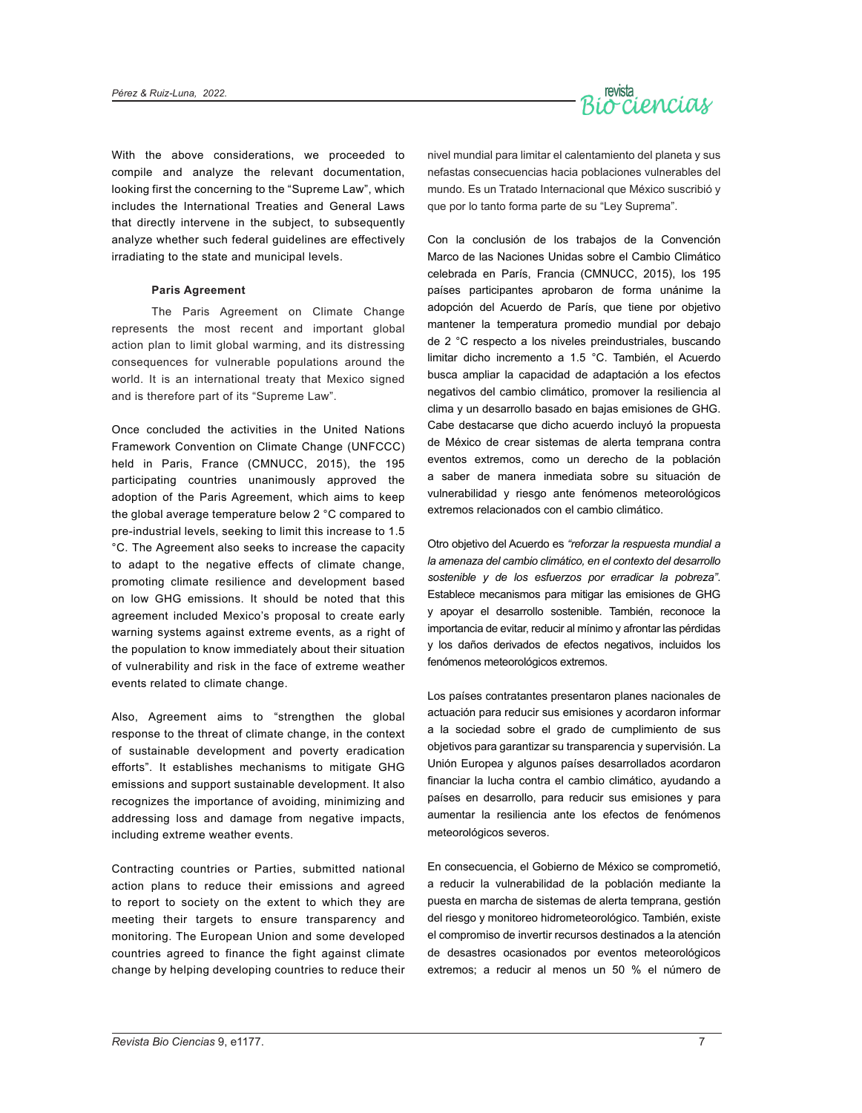

With the above considerations, we proceeded to compile and analyze the relevant documentation, looking first the concerning to the "Supreme Law", which includes the International Treaties and General Laws that directly intervene in the subject, to subsequently analyze whether such federal guidelines are effectively irradiating to the state and municipal levels.

#### **Paris Agreement**

The Paris Agreement on Climate Change represents the most recent and important global action plan to limit global warming, and its distressing consequences for vulnerable populations around the world. It is an international treaty that Mexico signed and is therefore part of its "Supreme Law".

Once concluded the activities in the United Nations Framework Convention on Climate Change (UNFCCC) held in Paris, France (CMNUCC, 2015), the 195 participating countries unanimously approved the adoption of the Paris Agreement, which aims to keep the global average temperature below 2 °C compared to pre-industrial levels, seeking to limit this increase to 1.5 °C. The Agreement also seeks to increase the capacity to adapt to the negative effects of climate change, promoting climate resilience and development based on low GHG emissions. It should be noted that this agreement included Mexico's proposal to create early warning systems against extreme events, as a right of the population to know immediately about their situation of vulnerability and risk in the face of extreme weather events related to climate change.

Also, Agreement aims to "strengthen the global response to the threat of climate change, in the context of sustainable development and poverty eradication efforts". It establishes mechanisms to mitigate GHG emissions and support sustainable development. It also recognizes the importance of avoiding, minimizing and addressing loss and damage from negative impacts, including extreme weather events.

Contracting countries or Parties, submitted national action plans to reduce their emissions and agreed to report to society on the extent to which they are meeting their targets to ensure transparency and monitoring. The European Union and some developed countries agreed to finance the fight against climate change by helping developing countries to reduce their

nivel mundial para limitar el calentamiento del planeta y sus nefastas consecuencias hacia poblaciones vulnerables del mundo. Es un Tratado Internacional que México suscribió y que por lo tanto forma parte de su "Ley Suprema".

Con la conclusión de los trabajos de la Convención Marco de las Naciones Unidas sobre el Cambio Climático celebrada en París, Francia (CMNUCC, 2015), los 195 países participantes aprobaron de forma unánime la adopción del Acuerdo de París, que tiene por objetivo mantener la temperatura promedio mundial por debajo de 2 °C respecto a los niveles preindustriales, buscando limitar dicho incremento a 1.5 °C. También, el Acuerdo busca ampliar la capacidad de adaptación a los efectos negativos del cambio climático, promover la resiliencia al clima y un desarrollo basado en bajas emisiones de GHG. Cabe destacarse que dicho acuerdo incluyó la propuesta de México de crear sistemas de alerta temprana contra eventos extremos, como un derecho de la población a saber de manera inmediata sobre su situación de vulnerabilidad y riesgo ante fenómenos meteorológicos extremos relacionados con el cambio climático.

Otro objetivo del Acuerdo es *"reforzar la respuesta mundial a la amenaza del cambio climático, en el contexto del desarrollo sostenible y de los esfuerzos por erradicar la pobreza"*. Establece mecanismos para mitigar las emisiones de GHG y apoyar el desarrollo sostenible. También, reconoce la importancia de evitar, reducir al mínimo y afrontar las pérdidas y los daños derivados de efectos negativos, incluidos los fenómenos meteorológicos extremos.

Los países contratantes presentaron planes nacionales de actuación para reducir sus emisiones y acordaron informar a la sociedad sobre el grado de cumplimiento de sus objetivos para garantizar su transparencia y supervisión. La Unión Europea y algunos países desarrollados acordaron financiar la lucha contra el cambio climático, ayudando a países en desarrollo, para reducir sus emisiones y para aumentar la resiliencia ante los efectos de fenómenos meteorológicos severos.

En consecuencia, el Gobierno de México se comprometió, a reducir la vulnerabilidad de la población mediante la puesta en marcha de sistemas de alerta temprana, gestión del riesgo y monitoreo hidrometeorológico. También, existe el compromiso de invertir recursos destinados a la atención de desastres ocasionados por eventos meteorológicos extremos; a reducir al menos un 50 % el número de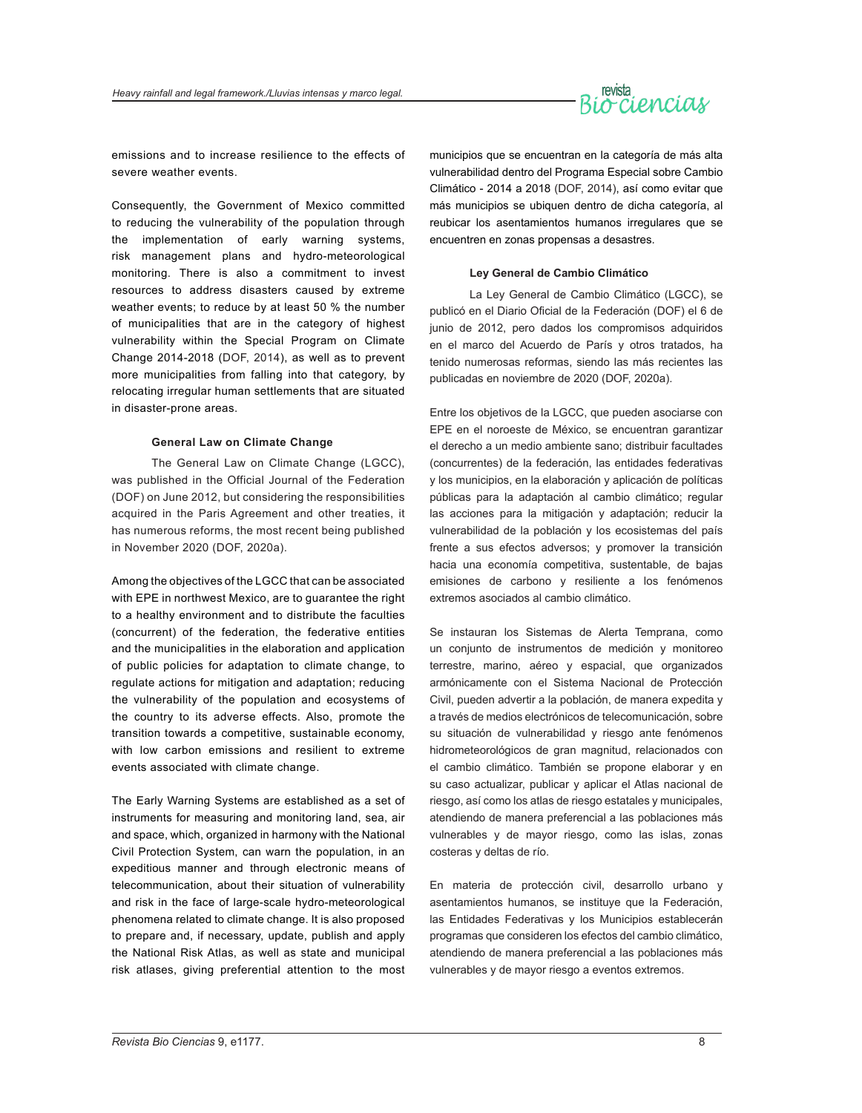

emissions and to increase resilience to the effects of severe weather events.

Consequently, the Government of Mexico committed to reducing the vulnerability of the population through the implementation of early warning systems, risk management plans and hydro-meteorological monitoring. There is also a commitment to invest resources to address disasters caused by extreme weather events; to reduce by at least 50 % the number of municipalities that are in the category of highest vulnerability within the Special Program on Climate Change 2014-2018 (DOF, 2014), as well as to prevent more municipalities from falling into that category, by relocating irregular human settlements that are situated in disaster-prone areas.

#### **General Law on Climate Change**

The General Law on Climate Change (LGCC), was published in the Official Journal of the Federation (DOF) on June 2012, but considering the responsibilities acquired in the Paris Agreement and other treaties, it has numerous reforms, the most recent being published in November 2020 (DOF, 2020a).

Among the objectives of the LGCC that can be associated with EPE in northwest Mexico, are to guarantee the right to a healthy environment and to distribute the faculties (concurrent) of the federation, the federative entities and the municipalities in the elaboration and application of public policies for adaptation to climate change, to regulate actions for mitigation and adaptation; reducing the vulnerability of the population and ecosystems of the country to its adverse effects. Also, promote the transition towards a competitive, sustainable economy, with low carbon emissions and resilient to extreme events associated with climate change.

The Early Warning Systems are established as a set of instruments for measuring and monitoring land, sea, air and space, which, organized in harmony with the National Civil Protection System, can warn the population, in an expeditious manner and through electronic means of telecommunication, about their situation of vulnerability and risk in the face of large-scale hydro-meteorological phenomena related to climate change. It is also proposed to prepare and, if necessary, update, publish and apply the National Risk Atlas, as well as state and municipal risk atlases, giving preferential attention to the most

municipios que se encuentran en la categoría de más alta vulnerabilidad dentro del Programa Especial sobre Cambio Climático - 2014 a 2018 (DOF, 2014), así como evitar que más municipios se ubiquen dentro de dicha categoría, al reubicar los asentamientos humanos irregulares que se encuentren en zonas propensas a desastres.

#### **Ley General de Cambio Climático**

La Ley General de Cambio Climático (LGCC), se publicó en el Diario Oficial de la Federación (DOF) el 6 de junio de 2012, pero dados los compromisos adquiridos en el marco del Acuerdo de París y otros tratados, ha tenido numerosas reformas, siendo las más recientes las publicadas en noviembre de 2020 (DOF, 2020a).

Entre los objetivos de la LGCC, que pueden asociarse con EPE en el noroeste de México, se encuentran garantizar el derecho a un medio ambiente sano; distribuir facultades (concurrentes) de la federación, las entidades federativas y los municipios, en la elaboración y aplicación de políticas públicas para la adaptación al cambio climático; regular las acciones para la mitigación y adaptación; reducir la vulnerabilidad de la población y los ecosistemas del país frente a sus efectos adversos; y promover la transición hacia una economía competitiva, sustentable, de bajas emisiones de carbono y resiliente a los fenómenos extremos asociados al cambio climático.

Se instauran los Sistemas de Alerta Temprana, como un conjunto de instrumentos de medición y monitoreo terrestre, marino, aéreo y espacial, que organizados armónicamente con el Sistema Nacional de Protección Civil, pueden advertir a la población, de manera expedita y a través de medios electrónicos de telecomunicación, sobre su situación de vulnerabilidad y riesgo ante fenómenos hidrometeorológicos de gran magnitud, relacionados con el cambio climático. También se propone elaborar y en su caso actualizar, publicar y aplicar el Atlas nacional de riesgo, así como los atlas de riesgo estatales y municipales, atendiendo de manera preferencial a las poblaciones más vulnerables y de mayor riesgo, como las islas, zonas costeras y deltas de río.

En materia de protección civil, desarrollo urbano y asentamientos humanos, se instituye que la Federación, las Entidades Federativas y los Municipios establecerán programas que consideren los efectos del cambio climático, atendiendo de manera preferencial a las poblaciones más vulnerables y de mayor riesgo a eventos extremos.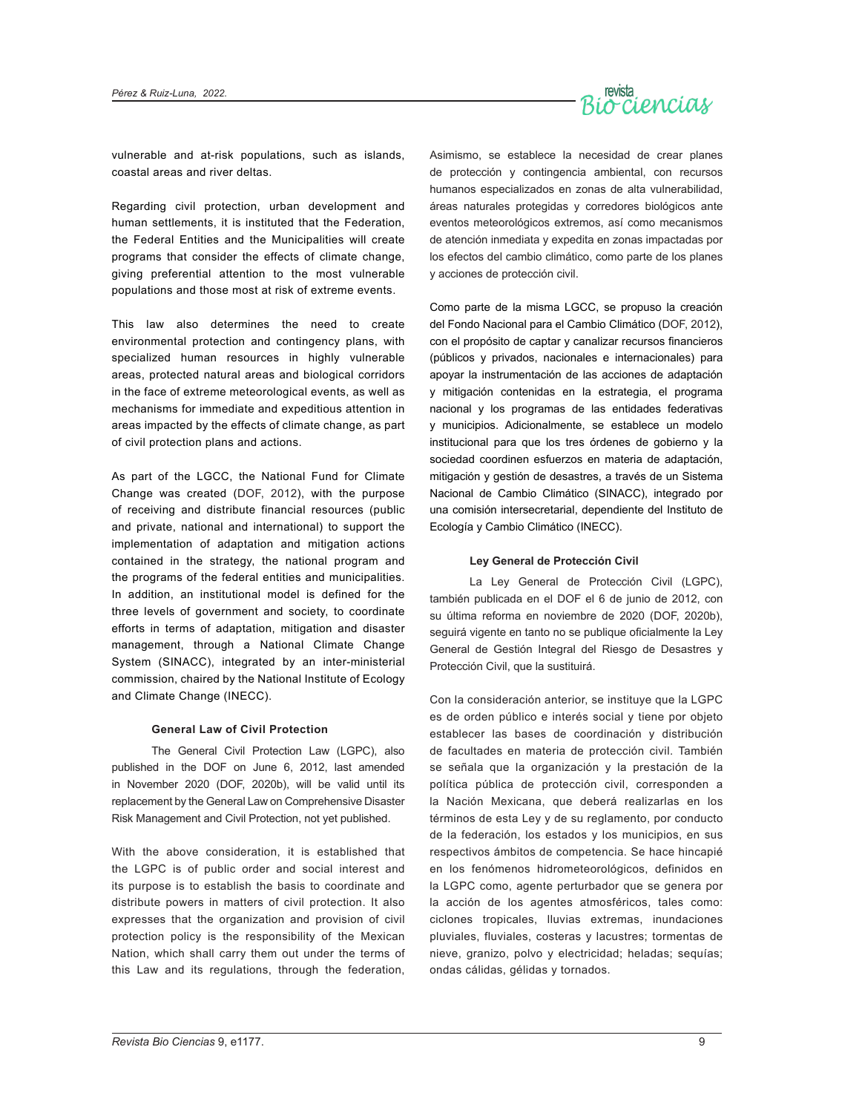

vulnerable and at-risk populations, such as islands, coastal areas and river deltas.

Regarding civil protection, urban development and human settlements, it is instituted that the Federation, the Federal Entities and the Municipalities will create programs that consider the effects of climate change, giving preferential attention to the most vulnerable populations and those most at risk of extreme events.

This law also determines the need to create environmental protection and contingency plans, with specialized human resources in highly vulnerable areas, protected natural areas and biological corridors in the face of extreme meteorological events, as well as mechanisms for immediate and expeditious attention in areas impacted by the effects of climate change, as part of civil protection plans and actions.

As part of the LGCC, the National Fund for Climate Change was created (DOF, 2012), with the purpose of receiving and distribute financial resources (public and private, national and international) to support the implementation of adaptation and mitigation actions contained in the strategy, the national program and the programs of the federal entities and municipalities. In addition, an institutional model is defined for the three levels of government and society, to coordinate efforts in terms of adaptation, mitigation and disaster management, through a National Climate Change System (SINACC), integrated by an inter-ministerial commission, chaired by the National Institute of Ecology and Climate Change (INECC).

#### **General Law of Civil Protection**

The General Civil Protection Law (LGPC), also published in the DOF on June 6, 2012, last amended in November 2020 (DOF, 2020b), will be valid until its replacement by the General Law on Comprehensive Disaster Risk Management and Civil Protection, not yet published.

With the above consideration, it is established that the LGPC is of public order and social interest and its purpose is to establish the basis to coordinate and distribute powers in matters of civil protection. It also expresses that the organization and provision of civil protection policy is the responsibility of the Mexican Nation, which shall carry them out under the terms of this Law and its regulations, through the federation,

Asimismo, se establece la necesidad de crear planes de protección y contingencia ambiental, con recursos humanos especializados en zonas de alta vulnerabilidad, áreas naturales protegidas y corredores biológicos ante eventos meteorológicos extremos, así como mecanismos de atención inmediata y expedita en zonas impactadas por los efectos del cambio climático, como parte de los planes y acciones de protección civil.

Como parte de la misma LGCC, se propuso la creación del Fondo Nacional para el Cambio Climático (DOF, 2012), con el propósito de captar y canalizar recursos financieros (públicos y privados, nacionales e internacionales) para apoyar la instrumentación de las acciones de adaptación y mitigación contenidas en la estrategia, el programa nacional y los programas de las entidades federativas y municipios. Adicionalmente, se establece un modelo institucional para que los tres órdenes de gobierno y la sociedad coordinen esfuerzos en materia de adaptación, mitigación y gestión de desastres, a través de un Sistema Nacional de Cambio Climático (SINACC), integrado por una comisión intersecretarial, dependiente del Instituto de Ecología y Cambio Climático (INECC).

#### **Ley General de Protección Civil**

La Ley General de Protección Civil (LGPC), también publicada en el DOF el 6 de junio de 2012, con su última reforma en noviembre de 2020 (DOF, 2020b), seguirá vigente en tanto no se publique oficialmente la Ley General de Gestión Integral del Riesgo de Desastres y Protección Civil, que la sustituirá.

Con la consideración anterior, se instituye que la LGPC es de orden público e interés social y tiene por objeto establecer las bases de coordinación y distribución de facultades en materia de protección civil. También se señala que la organización y la prestación de la política pública de protección civil, corresponden a la Nación Mexicana, que deberá realizarlas en los términos de esta Ley y de su reglamento, por conducto de la federación, los estados y los municipios, en sus respectivos ámbitos de competencia. Se hace hincapié en los fenómenos hidrometeorológicos, definidos en la LGPC como, agente perturbador que se genera por la acción de los agentes atmosféricos, tales como: ciclones tropicales, lluvias extremas, inundaciones pluviales, fluviales, costeras y lacustres; tormentas de nieve, granizo, polvo y electricidad; heladas; sequías; ondas cálidas, gélidas y tornados.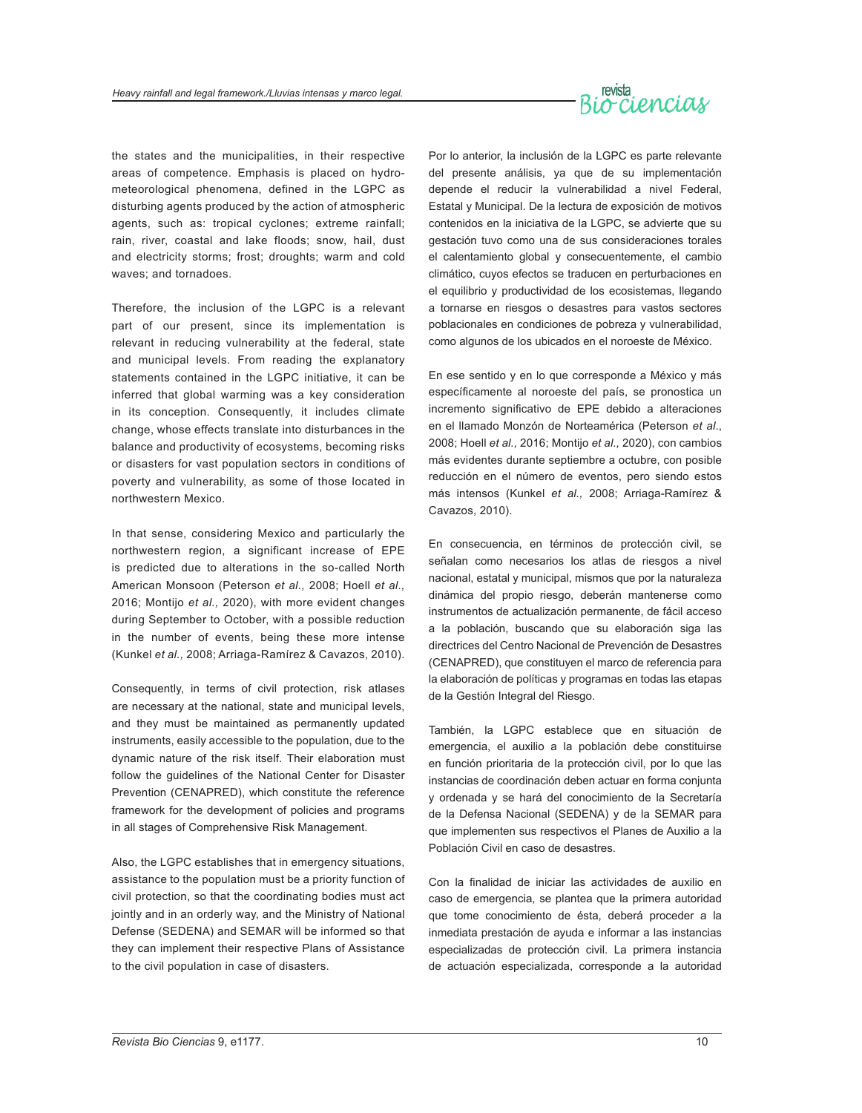

the states and the municipalities, in their respective areas of competence. Emphasis is placed on hydrometeorological phenomena, defined in the LGPC as disturbing agents produced by the action of atmospheric agents, such as: tropical cyclones; extreme rainfall; rain, river, coastal and lake floods; snow, hail, dust and electricity storms; frost; droughts; warm and cold waves; and tornadoes.

Therefore, the inclusion of the LGPC is a relevant part of our present, since its implementation is relevant in reducing vulnerability at the federal, state and municipal levels. From reading the explanatory statements contained in the LGPC initiative, it can be inferred that global warming was a key consideration in its conception. Consequently, it includes climate change, whose effects translate into disturbances in the balance and productivity of ecosystems, becoming risks or disasters for vast population sectors in conditions of poverty and vulnerability, as some of those located in northwestern Mexico.

In that sense, considering Mexico and particularly the northwestern region, a significant increase of EPE is predicted due to alterations in the so-called North American Monsoon (Peterson *et al.,* 2008; Hoell *et al.,*  2016; Montijo *et al.,* 2020), with more evident changes during September to October, with a possible reduction in the number of events, being these more intense (Kunkel *et al.,* 2008; Arriaga-Ramírez & Cavazos, 2010).

Consequently, in terms of civil protection, risk atlases are necessary at the national, state and municipal levels, and they must be maintained as permanently updated instruments, easily accessible to the population, due to the dynamic nature of the risk itself. Their elaboration must follow the guidelines of the National Center for Disaster Prevention (CENAPRED), which constitute the reference framework for the development of policies and programs in all stages of Comprehensive Risk Management.

Also, the LGPC establishes that in emergency situations, assistance to the population must be a priority function of civil protection, so that the coordinating bodies must act jointly and in an orderly way, and the Ministry of National Defense (SEDENA) and SEMAR will be informed so that they can implement their respective Plans of Assistance to the civil population in case of disasters.

Por lo anterior, la inclusión de la LGPC es parte relevante del presente análisis, ya que de su implementación depende el reducir la vulnerabilidad a nivel Federal, Estatal y Municipal. De la lectura de exposición de motivos contenidos en la iniciativa de la LGPC, se advierte que su gestación tuvo como una de sus consideraciones torales el calentamiento global y consecuentemente, el cambio climático, cuyos efectos se traducen en perturbaciones en el equilibrio y productividad de los ecosistemas, llegando a tornarse en riesgos o desastres para vastos sectores poblacionales en condiciones de pobreza y vulnerabilidad, como algunos de los ubicados en el noroeste de México.

En ese sentido y en lo que corresponde a México y más específicamente al noroeste del país, se pronostica un incremento significativo de EPE debido a alteraciones en el llamado Monzón de Norteamérica (Peterson *et al*., 2008; Hoell *et al.,* 2016; Montijo *et al.,* 2020), con cambios más evidentes durante septiembre a octubre, con posible reducción en el número de eventos, pero siendo estos más intensos (Kunkel *et al.,* 2008; Arriaga-Ramírez & Cavazos, 2010).

En consecuencia, en términos de protección civil, se señalan como necesarios los atlas de riesgos a nivel nacional, estatal y municipal, mismos que por la naturaleza dinámica del propio riesgo, deberán mantenerse como instrumentos de actualización permanente, de fácil acceso a la población, buscando que su elaboración siga las directrices del Centro Nacional de Prevención de Desastres (CENAPRED), que constituyen el marco de referencia para la elaboración de políticas y programas en todas las etapas de la Gestión Integral del Riesgo.

También, la LGPC establece que en situación de emergencia, el auxilio a la población debe constituirse en función prioritaria de la protección civil, por lo que las instancias de coordinación deben actuar en forma conjunta y ordenada y se hará del conocimiento de la Secretaría de la Defensa Nacional (SEDENA) y de la SEMAR para que implementen sus respectivos el Planes de Auxilio a la Población Civil en caso de desastres.

Con la finalidad de iniciar las actividades de auxilio en caso de emergencia, se plantea que la primera autoridad que tome conocimiento de ésta, deberá proceder a la inmediata prestación de ayuda e informar a las instancias especializadas de protección civil. La primera instancia de actuación especializada, corresponde a la autoridad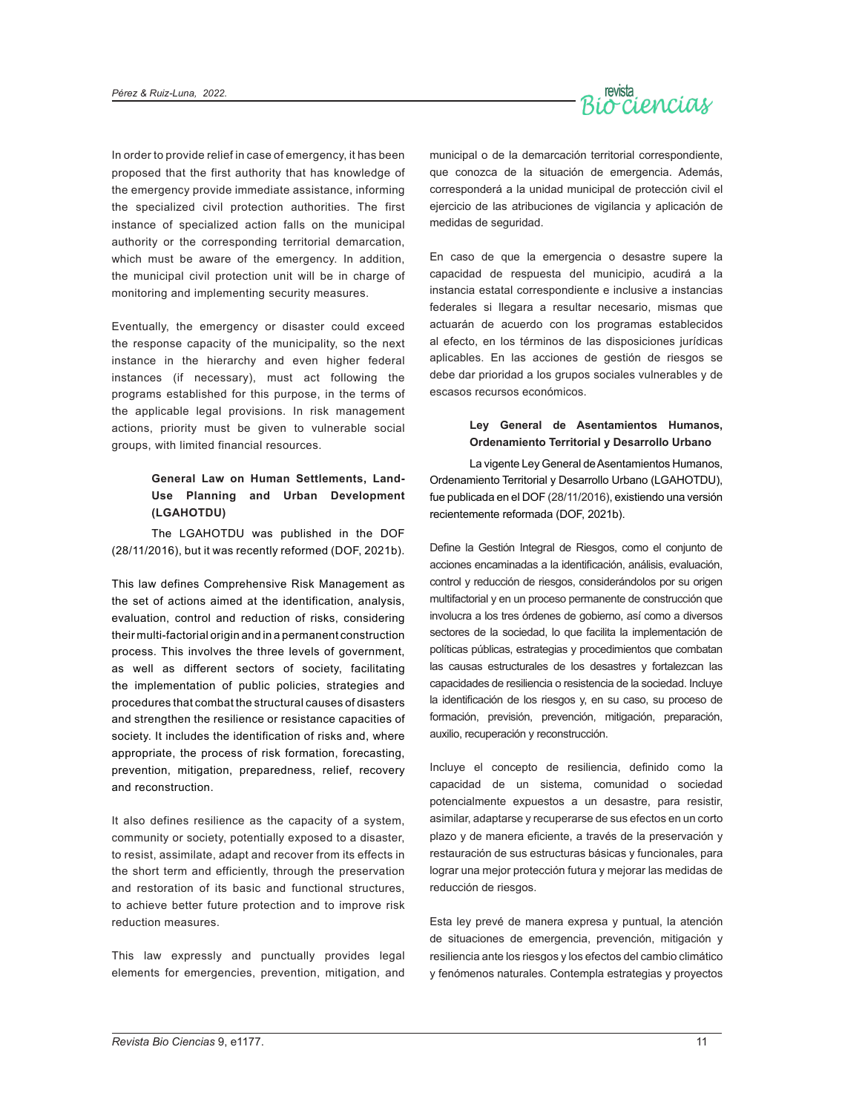

In order to provide relief in case of emergency, it has been proposed that the first authority that has knowledge of the emergency provide immediate assistance, informing the specialized civil protection authorities. The first instance of specialized action falls on the municipal authority or the corresponding territorial demarcation, which must be aware of the emergency. In addition, the municipal civil protection unit will be in charge of monitoring and implementing security measures.

Eventually, the emergency or disaster could exceed the response capacity of the municipality, so the next instance in the hierarchy and even higher federal instances (if necessary), must act following the programs established for this purpose, in the terms of the applicable legal provisions. In risk management actions, priority must be given to vulnerable social groups, with limited financial resources.

#### **General Law on Human Settlements, Land-Use Planning and Urban Development (LGAHOTDU)**

The LGAHOTDU was published in the DOF (28/11/2016), but it was recently reformed (DOF, 2021b).

This law defines Comprehensive Risk Management as the set of actions aimed at the identification, analysis, evaluation, control and reduction of risks, considering their multi-factorial origin and in a permanent construction process. This involves the three levels of government, as well as different sectors of society, facilitating the implementation of public policies, strategies and procedures that combat the structural causes of disasters and strengthen the resilience or resistance capacities of society. It includes the identification of risks and, where appropriate, the process of risk formation, forecasting, prevention, mitigation, preparedness, relief, recovery and reconstruction.

It also defines resilience as the capacity of a system, community or society, potentially exposed to a disaster, to resist, assimilate, adapt and recover from its effects in the short term and efficiently, through the preservation and restoration of its basic and functional structures, to achieve better future protection and to improve risk reduction measures.

This law expressly and punctually provides legal elements for emergencies, prevention, mitigation, and

municipal o de la demarcación territorial correspondiente, que conozca de la situación de emergencia. Además, corresponderá a la unidad municipal de protección civil el ejercicio de las atribuciones de vigilancia y aplicación de medidas de seguridad.

En caso de que la emergencia o desastre supere la capacidad de respuesta del municipio, acudirá a la instancia estatal correspondiente e inclusive a instancias federales si llegara a resultar necesario, mismas que actuarán de acuerdo con los programas establecidos al efecto, en los términos de las disposiciones jurídicas aplicables. En las acciones de gestión de riesgos se debe dar prioridad a los grupos sociales vulnerables y de escasos recursos económicos.

#### **Ley General de Asentamientos Humanos, Ordenamiento Territorial y Desarrollo Urbano**

La vigente Ley General de Asentamientos Humanos, Ordenamiento Territorial y Desarrollo Urbano (LGAHOTDU), fue publicada en el DOF (28/11/2016), existiendo una versión recientemente reformada (DOF, 2021b).

Define la Gestión Integral de Riesgos, como el conjunto de acciones encaminadas a la identificación, análisis, evaluación, control y reducción de riesgos, considerándolos por su origen multifactorial y en un proceso permanente de construcción que involucra a los tres órdenes de gobierno, así como a diversos sectores de la sociedad, lo que facilita la implementación de políticas públicas, estrategias y procedimientos que combatan las causas estructurales de los desastres y fortalezcan las capacidades de resiliencia o resistencia de la sociedad. Incluye la identificación de los riesgos y, en su caso, su proceso de formación, previsión, prevención, mitigación, preparación, auxilio, recuperación y reconstrucción.

Incluye el concepto de resiliencia, definido como la capacidad de un sistema, comunidad o sociedad potencialmente expuestos a un desastre, para resistir, asimilar, adaptarse y recuperarse de sus efectos en un corto plazo y de manera eficiente, a través de la preservación y restauración de sus estructuras básicas y funcionales, para lograr una mejor protección futura y mejorar las medidas de reducción de riesgos.

Esta ley prevé de manera expresa y puntual, la atención de situaciones de emergencia, prevención, mitigación y resiliencia ante los riesgos y los efectos del cambio climático y fenómenos naturales. Contempla estrategias y proyectos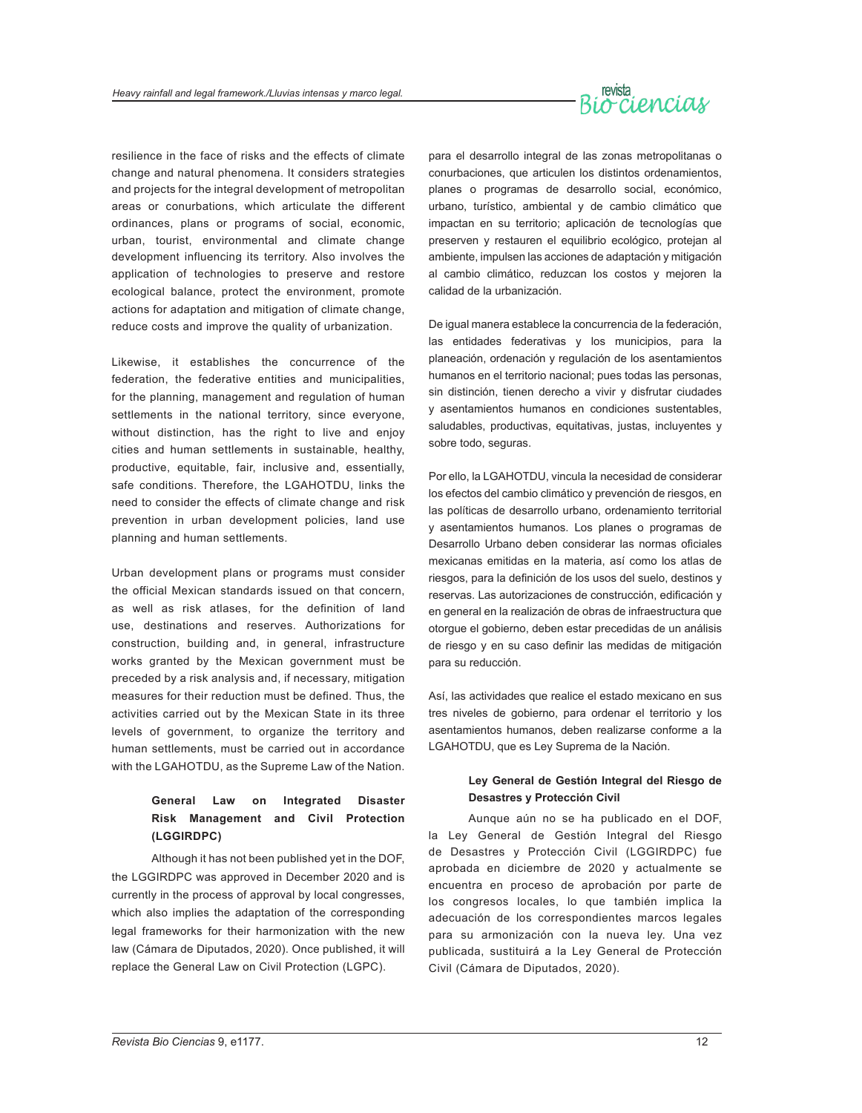# revista<br>Or Ciencias

resilience in the face of risks and the effects of climate change and natural phenomena. It considers strategies and projects for the integral development of metropolitan areas or conurbations, which articulate the different ordinances, plans or programs of social, economic, urban, tourist, environmental and climate change development influencing its territory. Also involves the application of technologies to preserve and restore ecological balance, protect the environment, promote actions for adaptation and mitigation of climate change, reduce costs and improve the quality of urbanization.

Likewise, it establishes the concurrence of the federation, the federative entities and municipalities, for the planning, management and regulation of human settlements in the national territory, since everyone, without distinction, has the right to live and enjoy cities and human settlements in sustainable, healthy, productive, equitable, fair, inclusive and, essentially, safe conditions. Therefore, the LGAHOTDU, links the need to consider the effects of climate change and risk prevention in urban development policies, land use planning and human settlements.

Urban development plans or programs must consider the official Mexican standards issued on that concern, as well as risk atlases, for the definition of land use, destinations and reserves. Authorizations for construction, building and, in general, infrastructure works granted by the Mexican government must be preceded by a risk analysis and, if necessary, mitigation measures for their reduction must be defined. Thus, the activities carried out by the Mexican State in its three levels of government, to organize the territory and human settlements, must be carried out in accordance with the LGAHOTDU, as the Supreme Law of the Nation.

### **General Law on Integrated Disaster Risk Management and Civil Protection (LGGIRDPC)**

Although it has not been published yet in the DOF, the LGGIRDPC was approved in December 2020 and is currently in the process of approval by local congresses, which also implies the adaptation of the corresponding legal frameworks for their harmonization with the new law (Cámara de Diputados, 2020). Once published, it will replace the General Law on Civil Protection (LGPC).

para el desarrollo integral de las zonas metropolitanas o conurbaciones, que articulen los distintos ordenamientos, planes o programas de desarrollo social, económico, urbano, turístico, ambiental y de cambio climático que impactan en su territorio; aplicación de tecnologías que preserven y restauren el equilibrio ecológico, protejan al ambiente, impulsen las acciones de adaptación y mitigación al cambio climático, reduzcan los costos y mejoren la calidad de la urbanización.

De igual manera establece la concurrencia de la federación, las entidades federativas y los municipios, para la planeación, ordenación y regulación de los asentamientos humanos en el territorio nacional; pues todas las personas, sin distinción, tienen derecho a vivir y disfrutar ciudades y asentamientos humanos en condiciones sustentables, saludables, productivas, equitativas, justas, incluyentes y sobre todo, seguras.

Por ello, la LGAHOTDU, vincula la necesidad de considerar los efectos del cambio climático y prevención de riesgos, en las políticas de desarrollo urbano, ordenamiento territorial y asentamientos humanos. Los planes o programas de Desarrollo Urbano deben considerar las normas oficiales mexicanas emitidas en la materia, así como los atlas de riesgos, para la definición de los usos del suelo, destinos y reservas. Las autorizaciones de construcción, edificación y en general en la realización de obras de infraestructura que otorgue el gobierno, deben estar precedidas de un análisis de riesgo y en su caso definir las medidas de mitigación para su reducción.

Así, las actividades que realice el estado mexicano en sus tres niveles de gobierno, para ordenar el territorio y los asentamientos humanos, deben realizarse conforme a la LGAHOTDU, que es Ley Suprema de la Nación.

#### **Ley General de Gestión Integral del Riesgo de Desastres y Protección Civil**

Aunque aún no se ha publicado en el DOF, la Ley General de Gestión Integral del Riesgo de Desastres y Protección Civil (LGGIRDPC) fue aprobada en diciembre de 2020 y actualmente se encuentra en proceso de aprobación por parte de los congresos locales, lo que también implica la adecuación de los correspondientes marcos legales para su armonización con la nueva ley. Una vez publicada, sustituirá a la Ley General de Protección Civil (Cámara de Diputados, 2020).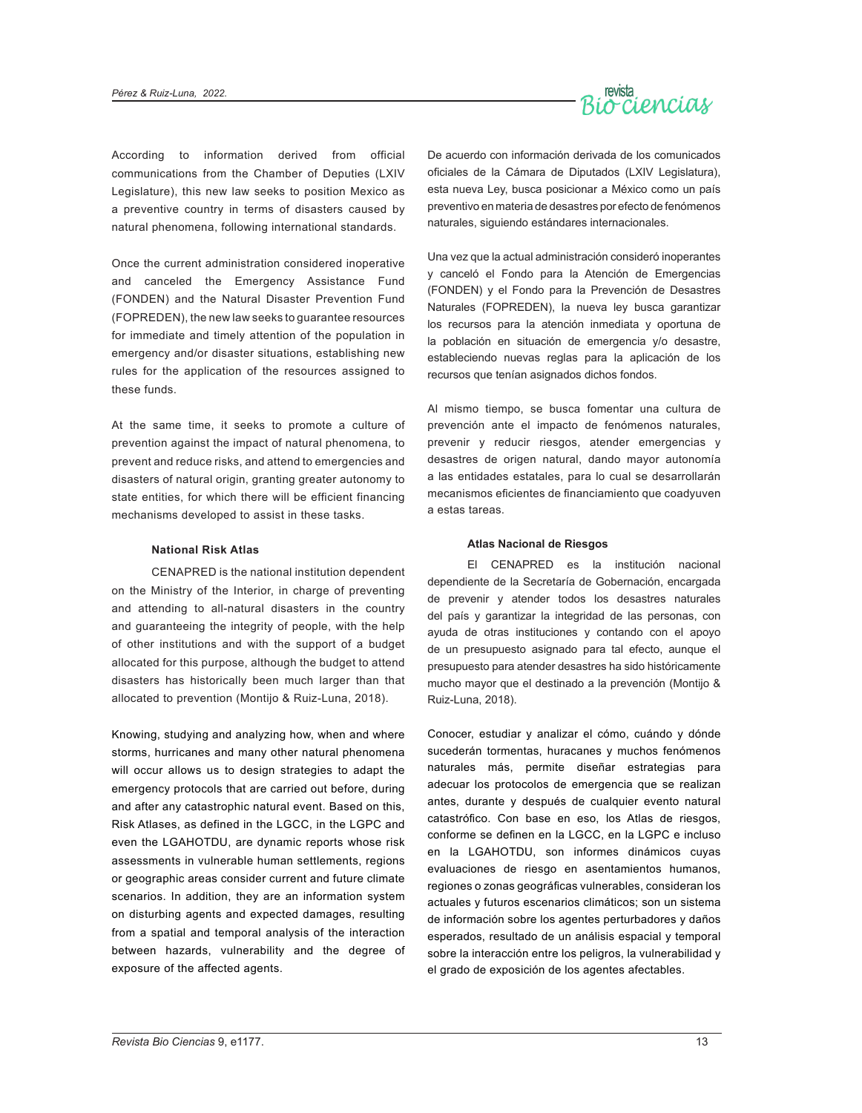

According to information derived from official communications from the Chamber of Deputies (LXIV Legislature), this new law seeks to position Mexico as a preventive country in terms of disasters caused by natural phenomena, following international standards.

Once the current administration considered inoperative and canceled the Emergency Assistance Fund (FONDEN) and the Natural Disaster Prevention Fund (FOPREDEN), the new law seeks to guarantee resources for immediate and timely attention of the population in emergency and/or disaster situations, establishing new rules for the application of the resources assigned to these funds.

At the same time, it seeks to promote a culture of prevention against the impact of natural phenomena, to prevent and reduce risks, and attend to emergencies and disasters of natural origin, granting greater autonomy to state entities, for which there will be efficient financing mechanisms developed to assist in these tasks.

#### **National Risk Atlas**

CENAPRED is the national institution dependent on the Ministry of the Interior, in charge of preventing and attending to all-natural disasters in the country and guaranteeing the integrity of people, with the help of other institutions and with the support of a budget allocated for this purpose, although the budget to attend disasters has historically been much larger than that allocated to prevention (Montijo & Ruiz-Luna, 2018).

Knowing, studying and analyzing how, when and where storms, hurricanes and many other natural phenomena will occur allows us to design strategies to adapt the emergency protocols that are carried out before, during and after any catastrophic natural event. Based on this, Risk Atlases, as defined in the LGCC, in the LGPC and even the LGAHOTDU, are dynamic reports whose risk assessments in vulnerable human settlements, regions or geographic areas consider current and future climate scenarios. In addition, they are an information system on disturbing agents and expected damages, resulting from a spatial and temporal analysis of the interaction between hazards, vulnerability and the degree of exposure of the affected agents.

De acuerdo con información derivada de los comunicados oficiales de la Cámara de Diputados (LXIV Legislatura), esta nueva Ley, busca posicionar a México como un país preventivo en materia de desastres por efecto de fenómenos naturales, siguiendo estándares internacionales.

Una vez que la actual administración consideró inoperantes y canceló el Fondo para la Atención de Emergencias (FONDEN) y el Fondo para la Prevención de Desastres Naturales (FOPREDEN), la nueva ley busca garantizar los recursos para la atención inmediata y oportuna de la población en situación de emergencia y/o desastre, estableciendo nuevas reglas para la aplicación de los recursos que tenían asignados dichos fondos.

Al mismo tiempo, se busca fomentar una cultura de prevención ante el impacto de fenómenos naturales, prevenir y reducir riesgos, atender emergencias y desastres de origen natural, dando mayor autonomía a las entidades estatales, para lo cual se desarrollarán mecanismos eficientes de financiamiento que coadyuven a estas tareas.

#### **Atlas Nacional de Riesgos**

El CENAPRED es la institución nacional dependiente de la Secretaría de Gobernación, encargada de prevenir y atender todos los desastres naturales del país y garantizar la integridad de las personas, con ayuda de otras instituciones y contando con el apoyo de un presupuesto asignado para tal efecto, aunque el presupuesto para atender desastres ha sido históricamente mucho mayor que el destinado a la prevención (Montijo & Ruiz-Luna, 2018).

Conocer, estudiar y analizar el cómo, cuándo y dónde sucederán tormentas, huracanes y muchos fenómenos naturales más, permite diseñar estrategias para adecuar los protocolos de emergencia que se realizan antes, durante y después de cualquier evento natural catastrófico. Con base en eso, los Atlas de riesgos, conforme se definen en la LGCC, en la LGPC e incluso en la LGAHOTDU, son informes dinámicos cuyas evaluaciones de riesgo en asentamientos humanos, regiones o zonas geográficas vulnerables, consideran los actuales y futuros escenarios climáticos; son un sistema de información sobre los agentes perturbadores y daños esperados, resultado de un análisis espacial y temporal sobre la interacción entre los peligros, la vulnerabilidad y el grado de exposición de los agentes afectables.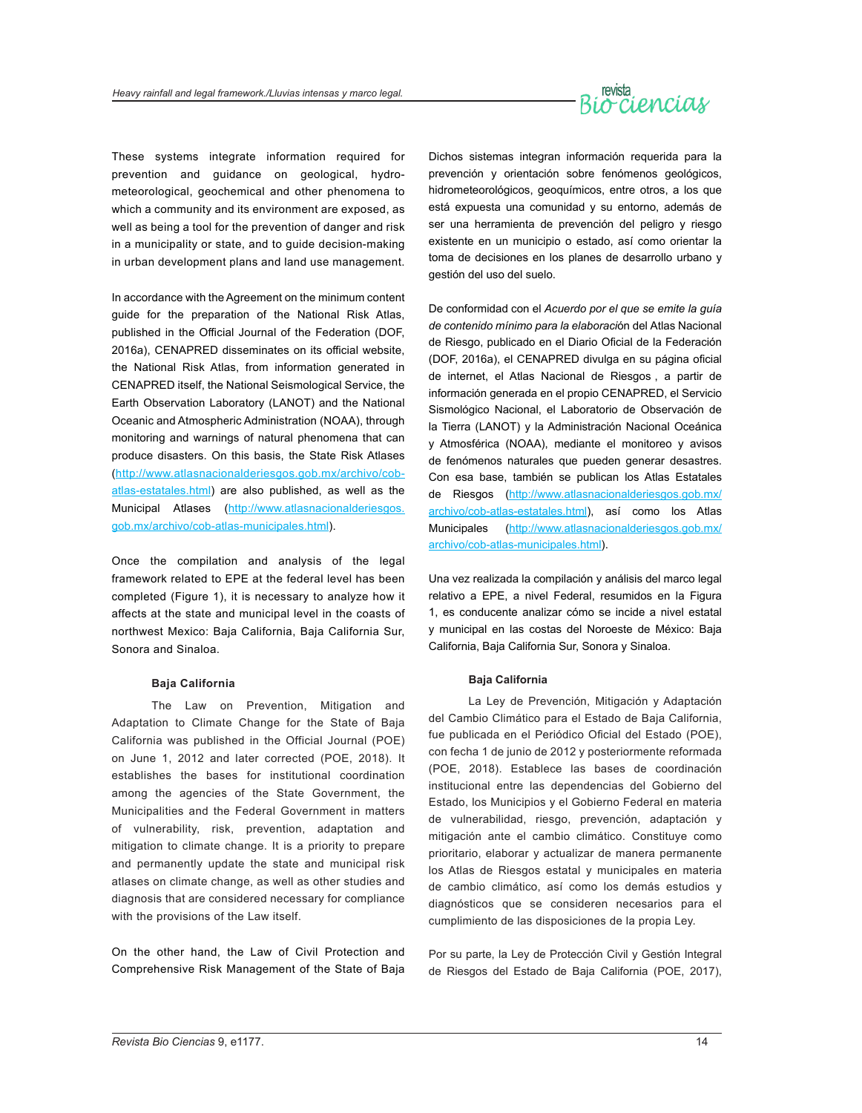# revista<br>Or Cienciaux

These systems integrate information required for prevention and guidance on geological, hydrometeorological, geochemical and other phenomena to which a community and its environment are exposed, as well as being a tool for the prevention of danger and risk in a municipality or state, and to guide decision-making in urban development plans and land use management.

In accordance with the Agreement on the minimum content guide for the preparation of the National Risk Atlas, published in the Official Journal of the Federation (DOF, 2016a), CENAPRED disseminates on its official website, the National Risk Atlas, from information generated in CENAPRED itself, the National Seismological Service, the Earth Observation Laboratory (LANOT) and the National Oceanic and Atmospheric Administration (NOAA), through monitoring and warnings of natural phenomena that can produce disasters. On this basis, the State Risk Atlases [\(http://www.atlasnacionalderiesgos.gob.mx/archivo/cob](http://www.atlasnacionalderiesgos.gob.mx/archivo/cob-atlas-estatales.html)[atlas-estatales.html\)](http://www.atlasnacionalderiesgos.gob.mx/archivo/cob-atlas-estatales.html) are also published, as well as the Municipal Atlases [\(http://www.atlasnacionalderiesgos.](http://www.atlasnacionalderiesgos.gob.mx/archivo/cob-atlas-municipales.html) [gob.mx/archivo/cob-atlas-municipales.html\)](http://www.atlasnacionalderiesgos.gob.mx/archivo/cob-atlas-municipales.html).

Once the compilation and analysis of the legal framework related to EPE at the federal level has been completed (Figure 1), it is necessary to analyze how it affects at the state and municipal level in the coasts of northwest Mexico: Baja California, Baja California Sur, Sonora and Sinaloa.

#### **Baja California**

The Law on Prevention, Mitigation and Adaptation to Climate Change for the State of Baja California was published in the Official Journal (POE) on June 1, 2012 and later corrected (POE, 2018). It establishes the bases for institutional coordination among the agencies of the State Government, the Municipalities and the Federal Government in matters of vulnerability, risk, prevention, adaptation and mitigation to climate change. It is a priority to prepare and permanently update the state and municipal risk atlases on climate change, as well as other studies and diagnosis that are considered necessary for compliance with the provisions of the Law itself.

On the other hand, the Law of Civil Protection and Comprehensive Risk Management of the State of Baja Dichos sistemas integran información requerida para la prevención y orientación sobre fenómenos geológicos, hidrometeorológicos, geoquímicos, entre otros, a los que está expuesta una comunidad y su entorno, además de ser una herramienta de prevención del peligro y riesgo existente en un municipio o estado, así como orientar la toma de decisiones en los planes de desarrollo urbano y gestión del uso del suelo.

De conformidad con el *Acuerdo por el que se emite la guía de contenido mínimo para la elaboraci*ón del Atlas Nacional de Riesgo, publicado en el Diario Oficial de la Federación (DOF, 2016a), el CENAPRED divulga en su página oficial de internet, el Atlas Nacional de Riesgos , a partir de información generada en el propio CENAPRED, el Servicio Sismológico Nacional, el Laboratorio de Observación de la Tierra (LANOT) y la Administración Nacional Oceánica y Atmosférica (NOAA), mediante el monitoreo y avisos de fenómenos naturales que pueden generar desastres. Con esa base, también se publican los Atlas Estatales de Riesgos ([http://www.atlasnacionalderiesgos.gob.mx/](http://www.atlasnacionalderiesgos.gob.mx/archivo/cob-atlas-estatales.html) [archivo/cob-atlas-estatales.html](http://www.atlasnacionalderiesgos.gob.mx/archivo/cob-atlas-estatales.html)), así como los Atlas Municipales ([http://www.atlasnacionalderiesgos.gob.mx/](http://www.atlasnacionalderiesgos.gob.mx/archivo/cob-atlas-municipales.html) [archivo/cob-atlas-municipales.html](http://www.atlasnacionalderiesgos.gob.mx/archivo/cob-atlas-municipales.html)).

Una vez realizada la compilación y análisis del marco legal relativo a EPE, a nivel Federal, resumidos en la Figura 1, es conducente analizar cómo se incide a nivel estatal y municipal en las costas del Noroeste de México: Baja California, Baja California Sur, Sonora y Sinaloa.

#### **Baja California**

La Ley de Prevención, Mitigación y Adaptación del Cambio Climático para el Estado de Baja California, fue publicada en el Periódico Oficial del Estado (POE), con fecha 1 de junio de 2012 y posteriormente reformada (POE, 2018). Establece las bases de coordinación institucional entre las dependencias del Gobierno del Estado, los Municipios y el Gobierno Federal en materia de vulnerabilidad, riesgo, prevención, adaptación y mitigación ante el cambio climático. Constituye como prioritario, elaborar y actualizar de manera permanente los Atlas de Riesgos estatal y municipales en materia de cambio climático, así como los demás estudios y diagnósticos que se consideren necesarios para el cumplimiento de las disposiciones de la propia Ley.

Por su parte, la Ley de Protección Civil y Gestión Integral de Riesgos del Estado de Baja California (POE, 2017),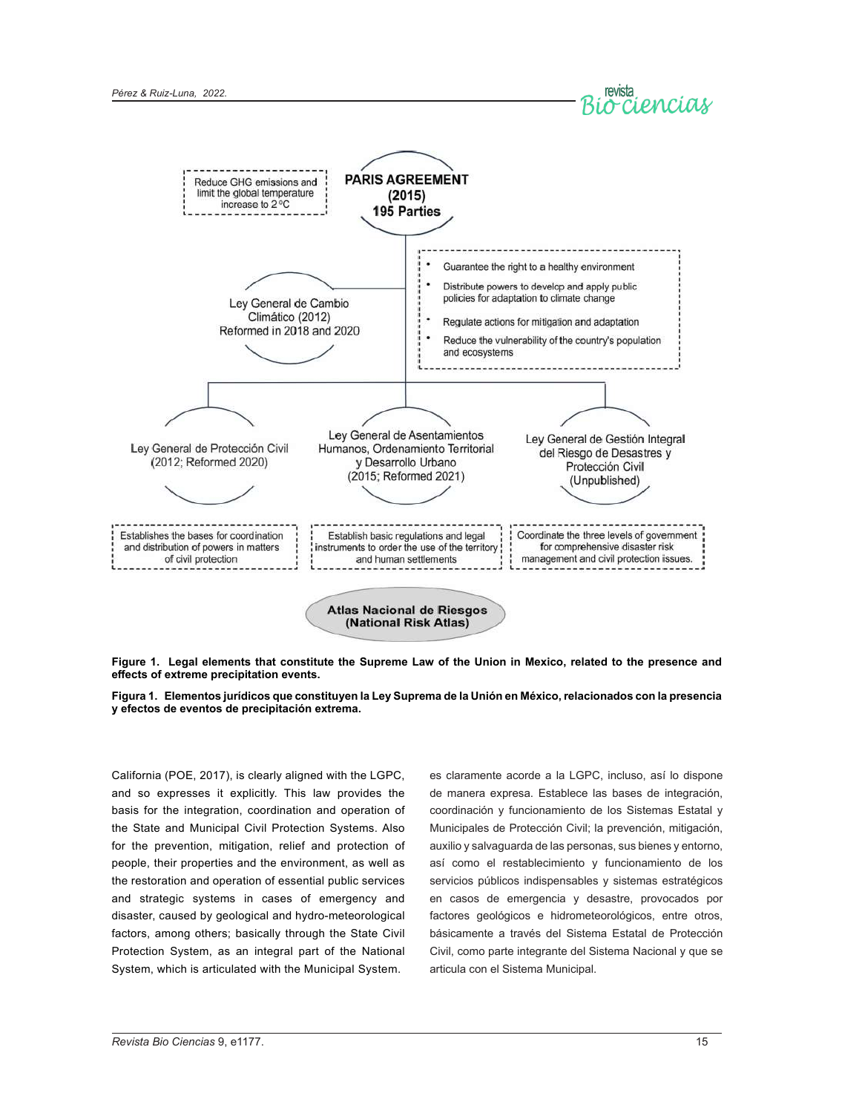



**Figure 1. Legal elements that constitute the Supreme Law of the Union in Mexico, related to the presence and effects of extreme precipitation events.**



California (POE, 2017), is clearly aligned with the LGPC, and so expresses it explicitly. This law provides the basis for the integration, coordination and operation of the State and Municipal Civil Protection Systems. Also for the prevention, mitigation, relief and protection of people, their properties and the environment, as well as the restoration and operation of essential public services and strategic systems in cases of emergency and disaster, caused by geological and hydro-meteorological factors, among others; basically through the State Civil Protection System, as an integral part of the National System, which is articulated with the Municipal System.

es claramente acorde a la LGPC, incluso, así lo dispone de manera expresa. Establece las bases de integración, coordinación y funcionamiento de los Sistemas Estatal y Municipales de Protección Civil; la prevención, mitigación, auxilio y salvaguarda de las personas, sus bienes y entorno, así como el restablecimiento y funcionamiento de los servicios públicos indispensables y sistemas estratégicos en casos de emergencia y desastre, provocados por factores geológicos e hidrometeorológicos, entre otros, básicamente a través del Sistema Estatal de Protección Civil, como parte integrante del Sistema Nacional y que se articula con el Sistema Municipal.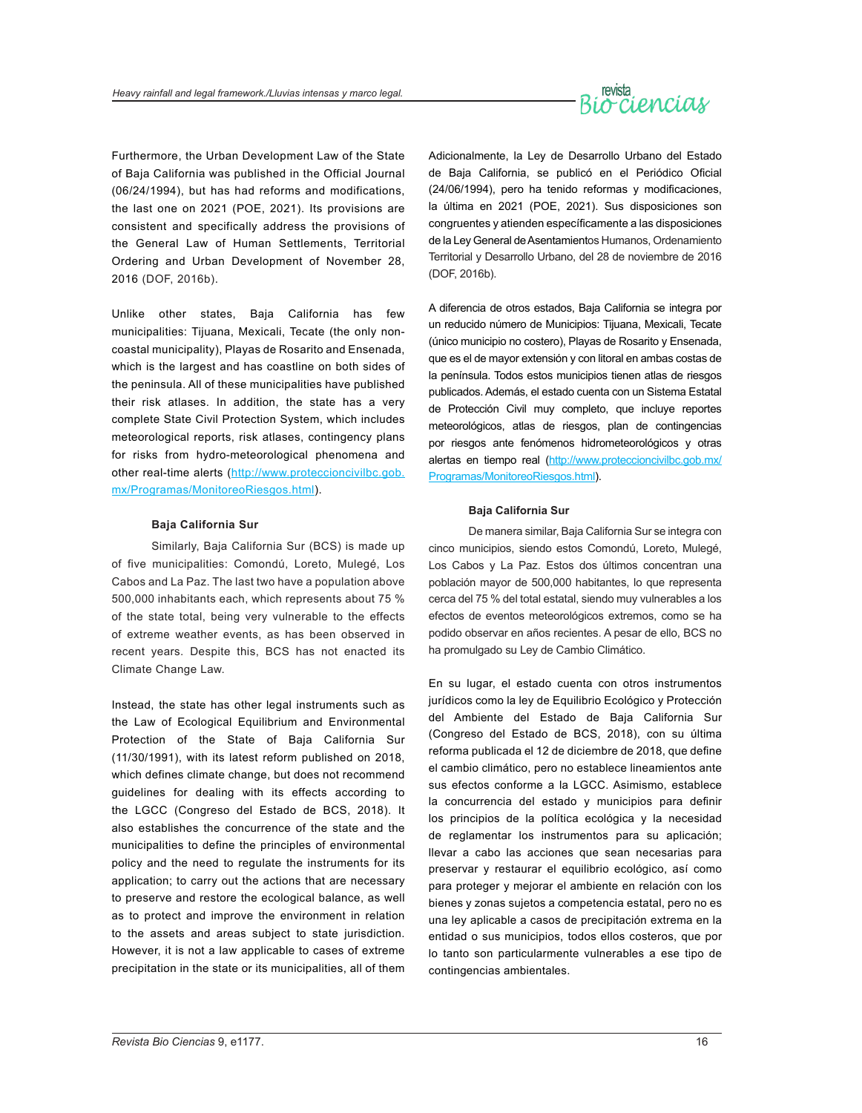

Furthermore, the Urban Development Law of the State of Baja California was published in the Official Journal (06/24/1994), but has had reforms and modifications, the last one on 2021 (POE, 2021). Its provisions are consistent and specifically address the provisions of the General Law of Human Settlements, Territorial Ordering and Urban Development of November 28, 2016 (DOF, 2016b).

Unlike other states, Baja California has few municipalities: Tijuana, Mexicali, Tecate (the only noncoastal municipality), Playas de Rosarito and Ensenada, which is the largest and has coastline on both sides of the peninsula. All of these municipalities have published their risk atlases. In addition, the state has a very complete State Civil Protection System, which includes meteorological reports, risk atlases, contingency plans for risks from hydro-meteorological phenomena and other real-time alerts [\(http://www.proteccioncivilbc.gob.](http://www.proteccioncivilbc.gob.mx/Programas/MonitoreoRiesgos.html) [mx/Programas/MonitoreoRiesgos.html\)](http://www.proteccioncivilbc.gob.mx/Programas/MonitoreoRiesgos.html).

#### **Baja California Sur**

Similarly, Baja California Sur (BCS) is made up of five municipalities: Comondú, Loreto, Mulegé, Los Cabos and La Paz. The last two have a population above 500,000 inhabitants each, which represents about 75 % of the state total, being very vulnerable to the effects of extreme weather events, as has been observed in recent years. Despite this, BCS has not enacted its Climate Change Law.

Instead, the state has other legal instruments such as the Law of Ecological Equilibrium and Environmental Protection of the State of Baja California Sur (11/30/1991), with its latest reform published on 2018, which defines climate change, but does not recommend guidelines for dealing with its effects according to the LGCC (Congreso del Estado de BCS, 2018). It also establishes the concurrence of the state and the municipalities to define the principles of environmental policy and the need to regulate the instruments for its application; to carry out the actions that are necessary to preserve and restore the ecological balance, as well as to protect and improve the environment in relation to the assets and areas subject to state jurisdiction. However, it is not a law applicable to cases of extreme precipitation in the state or its municipalities, all of them

Adicionalmente, la Ley de Desarrollo Urbano del Estado de Baja California, se publicó en el Periódico Oficial (24/06/1994), pero ha tenido reformas y modificaciones, la última en 2021 (POE, 2021). Sus disposiciones son congruentes y atienden específicamente a las disposiciones de la Ley General de Asentamientos Humanos, Ordenamiento Territorial y Desarrollo Urbano, del 28 de noviembre de 2016 (DOF, 2016b).

A diferencia de otros estados, Baja California se integra por un reducido número de Municipios: Tijuana, Mexicali, Tecate (único municipio no costero), Playas de Rosarito y Ensenada, que es el de mayor extensión y con litoral en ambas costas de la península. Todos estos municipios tienen atlas de riesgos publicados. Además, el estado cuenta con un Sistema Estatal de Protección Civil muy completo, que incluye reportes meteorológicos, atlas de riesgos, plan de contingencias por riesgos ante fenómenos hidrometeorológicos y otras alertas en tiempo real [\(http://www.proteccioncivilbc.gob.mx/](http://www.proteccioncivilbc.gob.mx/Programas/MonitoreoRiesgos.html) [Programas/MonitoreoRiesgos.html\)](http://www.proteccioncivilbc.gob.mx/Programas/MonitoreoRiesgos.html).

#### **Baja California Sur**

De manera similar, Baja California Sur se integra con cinco municipios, siendo estos Comondú, Loreto, Mulegé, Los Cabos y La Paz. Estos dos últimos concentran una población mayor de 500,000 habitantes, lo que representa cerca del 75 % del total estatal, siendo muy vulnerables a los efectos de eventos meteorológicos extremos, como se ha podido observar en años recientes. A pesar de ello, BCS no ha promulgado su Ley de Cambio Climático.

En su lugar, el estado cuenta con otros instrumentos jurídicos como la ley de Equilibrio Ecológico y Protección del Ambiente del Estado de Baja California Sur (Congreso del Estado de BCS, 2018), con su última reforma publicada el 12 de diciembre de 2018, que define el cambio climático, pero no establece lineamientos ante sus efectos conforme a la LGCC. Asimismo, establece la concurrencia del estado y municipios para definir los principios de la política ecológica y la necesidad de reglamentar los instrumentos para su aplicación; llevar a cabo las acciones que sean necesarias para preservar y restaurar el equilibrio ecológico, así como para proteger y mejorar el ambiente en relación con los bienes y zonas sujetos a competencia estatal, pero no es una ley aplicable a casos de precipitación extrema en la entidad o sus municipios, todos ellos costeros, que por lo tanto son particularmente vulnerables a ese tipo de contingencias ambientales.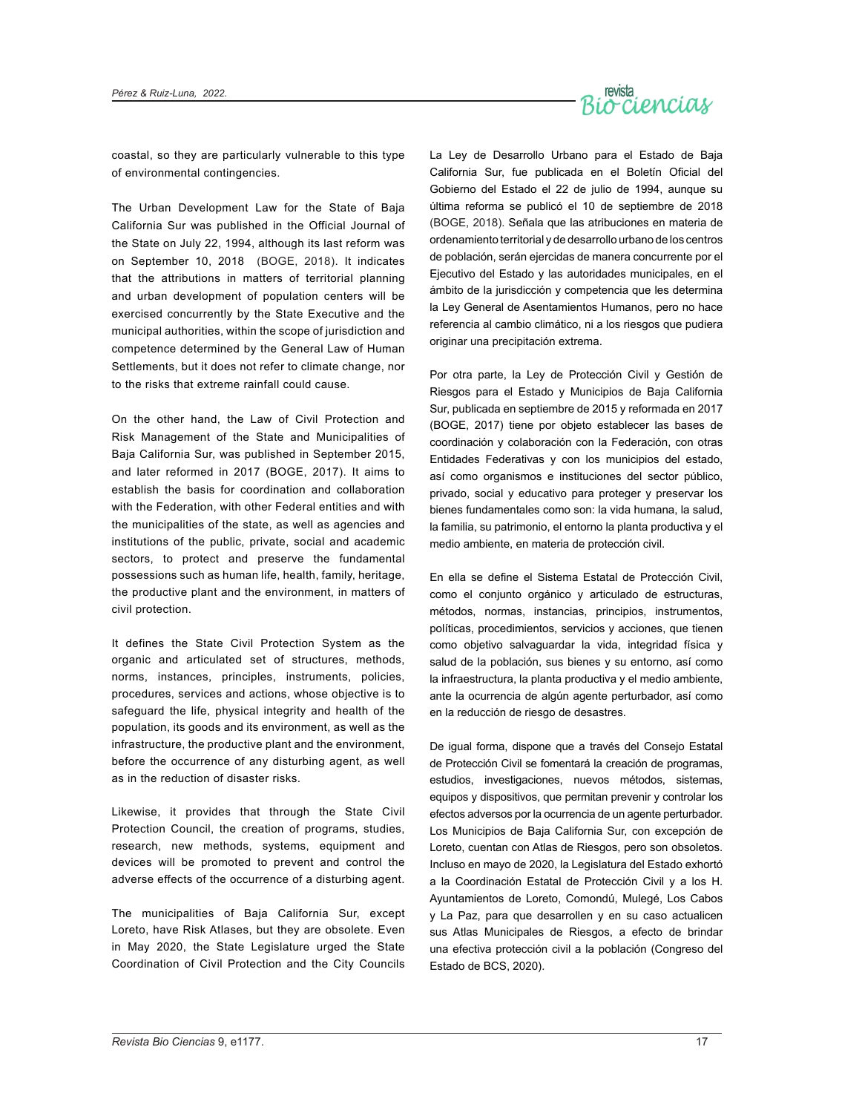

coastal, so they are particularly vulnerable to this type of environmental contingencies.

The Urban Development Law for the State of Baja California Sur was published in the Official Journal of the State on July 22, 1994, although its last reform was on September 10, 2018 (BOGE, 2018). It indicates that the attributions in matters of territorial planning and urban development of population centers will be exercised concurrently by the State Executive and the municipal authorities, within the scope of jurisdiction and competence determined by the General Law of Human Settlements, but it does not refer to climate change, nor to the risks that extreme rainfall could cause.

On the other hand, the Law of Civil Protection and Risk Management of the State and Municipalities of Baja California Sur, was published in September 2015, and later reformed in 2017 (BOGE, 2017). It aims to establish the basis for coordination and collaboration with the Federation, with other Federal entities and with the municipalities of the state, as well as agencies and institutions of the public, private, social and academic sectors, to protect and preserve the fundamental possessions such as human life, health, family, heritage, the productive plant and the environment, in matters of civil protection.

It defines the State Civil Protection System as the organic and articulated set of structures, methods, norms, instances, principles, instruments, policies, procedures, services and actions, whose objective is to safeguard the life, physical integrity and health of the population, its goods and its environment, as well as the infrastructure, the productive plant and the environment, before the occurrence of any disturbing agent, as well as in the reduction of disaster risks.

Likewise, it provides that through the State Civil Protection Council, the creation of programs, studies, research, new methods, systems, equipment and devices will be promoted to prevent and control the adverse effects of the occurrence of a disturbing agent.

The municipalities of Baja California Sur, except Loreto, have Risk Atlases, but they are obsolete. Even in May 2020, the State Legislature urged the State Coordination of Civil Protection and the City Councils

La Ley de Desarrollo Urbano para el Estado de Baja California Sur, fue publicada en el Boletín Oficial del Gobierno del Estado el 22 de julio de 1994, aunque su última reforma se publicó el 10 de septiembre de 2018 (BOGE, 2018). Señala que las atribuciones en materia de ordenamiento territorial y de desarrollo urbano de los centros de población, serán ejercidas de manera concurrente por el Ejecutivo del Estado y las autoridades municipales, en el ámbito de la jurisdicción y competencia que les determina la Ley General de Asentamientos Humanos, pero no hace referencia al cambio climático, ni a los riesgos que pudiera originar una precipitación extrema.

Por otra parte, la Ley de Protección Civil y Gestión de Riesgos para el Estado y Municipios de Baja California Sur, publicada en septiembre de 2015 y reformada en 2017 (BOGE, 2017) tiene por objeto establecer las bases de coordinación y colaboración con la Federación, con otras Entidades Federativas y con los municipios del estado, así como organismos e instituciones del sector público, privado, social y educativo para proteger y preservar los bienes fundamentales como son: la vida humana, la salud, la familia, su patrimonio, el entorno la planta productiva y el medio ambiente, en materia de protección civil.

En ella se define el Sistema Estatal de Protección Civil, como el conjunto orgánico y articulado de estructuras, métodos, normas, instancias, principios, instrumentos, políticas, procedimientos, servicios y acciones, que tienen como objetivo salvaguardar la vida, integridad física y salud de la población, sus bienes y su entorno, así como la infraestructura, la planta productiva y el medio ambiente, ante la ocurrencia de algún agente perturbador, así como en la reducción de riesgo de desastres.

De igual forma, dispone que a través del Consejo Estatal de Protección Civil se fomentará la creación de programas, estudios, investigaciones, nuevos métodos, sistemas, equipos y dispositivos, que permitan prevenir y controlar los efectos adversos por la ocurrencia de un agente perturbador. Los Municipios de Baja California Sur, con excepción de Loreto, cuentan con Atlas de Riesgos, pero son obsoletos. Incluso en mayo de 2020, la Legislatura del Estado exhortó a la Coordinación Estatal de Protección Civil y a los H. Ayuntamientos de Loreto, Comondú, Mulegé, Los Cabos y La Paz, para que desarrollen y en su caso actualicen sus Atlas Municipales de Riesgos, a efecto de brindar una efectiva protección civil a la población (Congreso del Estado de BCS, 2020).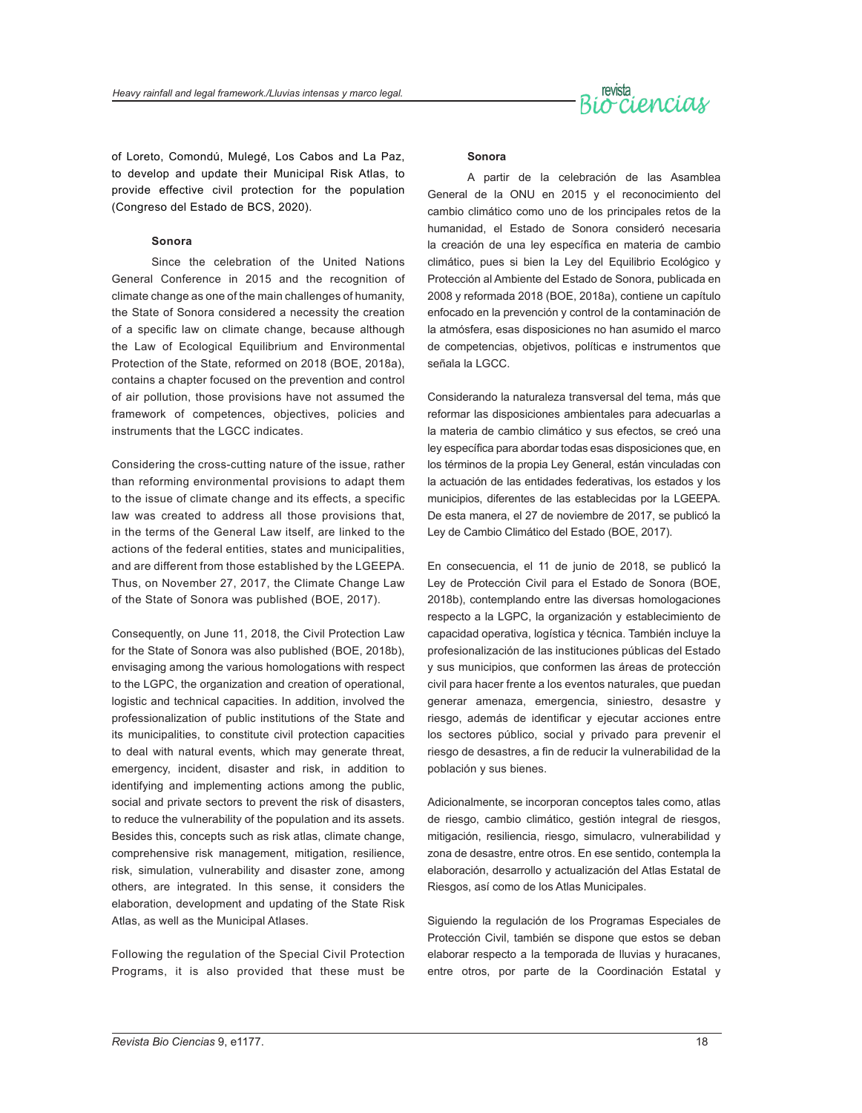

of Loreto, Comondú, Mulegé, Los Cabos and La Paz, to develop and update their Municipal Risk Atlas, to provide effective civil protection for the population (Congreso del Estado de BCS, 2020).

#### **Sonora**

Since the celebration of the United Nations General Conference in 2015 and the recognition of climate change as one of the main challenges of humanity, the State of Sonora considered a necessity the creation of a specific law on climate change, because although the Law of Ecological Equilibrium and Environmental Protection of the State, reformed on 2018 (BOE, 2018a), contains a chapter focused on the prevention and control of air pollution, those provisions have not assumed the framework of competences, objectives, policies and instruments that the LGCC indicates.

Considering the cross-cutting nature of the issue, rather than reforming environmental provisions to adapt them to the issue of climate change and its effects, a specific law was created to address all those provisions that, in the terms of the General Law itself, are linked to the actions of the federal entities, states and municipalities, and are different from those established by the LGEEPA. Thus, on November 27, 2017, the Climate Change Law of the State of Sonora was published (BOE, 2017).

Consequently, on June 11, 2018, the Civil Protection Law for the State of Sonora was also published (BOE, 2018b), envisaging among the various homologations with respect to the LGPC, the organization and creation of operational, logistic and technical capacities. In addition, involved the professionalization of public institutions of the State and its municipalities, to constitute civil protection capacities to deal with natural events, which may generate threat, emergency, incident, disaster and risk, in addition to identifying and implementing actions among the public, social and private sectors to prevent the risk of disasters, to reduce the vulnerability of the population and its assets. Besides this, concepts such as risk atlas, climate change, comprehensive risk management, mitigation, resilience, risk, simulation, vulnerability and disaster zone, among others, are integrated. In this sense, it considers the elaboration, development and updating of the State Risk Atlas, as well as the Municipal Atlases.

Following the regulation of the Special Civil Protection Programs, it is also provided that these must be

#### **Sonora**

A partir de la celebración de las Asamblea General de la ONU en 2015 y el reconocimiento del cambio climático como uno de los principales retos de la humanidad, el Estado de Sonora consideró necesaria la creación de una ley específica en materia de cambio climático, pues si bien la Ley del Equilibrio Ecológico y Protección al Ambiente del Estado de Sonora, publicada en 2008 y reformada 2018 (BOE, 2018a), contiene un capítulo enfocado en la prevención y control de la contaminación de la atmósfera, esas disposiciones no han asumido el marco de competencias, objetivos, políticas e instrumentos que señala la LGCC.

Considerando la naturaleza transversal del tema, más que reformar las disposiciones ambientales para adecuarlas a la materia de cambio climático y sus efectos, se creó una ley específica para abordar todas esas disposiciones que, en los términos de la propia Ley General, están vinculadas con la actuación de las entidades federativas, los estados y los municipios, diferentes de las establecidas por la LGEEPA. De esta manera, el 27 de noviembre de 2017, se publicó la Ley de Cambio Climático del Estado (BOE, 2017).

En consecuencia, el 11 de junio de 2018, se publicó la Ley de Protección Civil para el Estado de Sonora (BOE, 2018b), contemplando entre las diversas homologaciones respecto a la LGPC, la organización y establecimiento de capacidad operativa, logística y técnica. También incluye la profesionalización de las instituciones públicas del Estado y sus municipios, que conformen las áreas de protección civil para hacer frente a los eventos naturales, que puedan generar amenaza, emergencia, siniestro, desastre y riesgo, además de identificar y ejecutar acciones entre los sectores público, social y privado para prevenir el riesgo de desastres, a fin de reducir la vulnerabilidad de la población y sus bienes.

Adicionalmente, se incorporan conceptos tales como, atlas de riesgo, cambio climático, gestión integral de riesgos, mitigación, resiliencia, riesgo, simulacro, vulnerabilidad y zona de desastre, entre otros. En ese sentido, contempla la elaboración, desarrollo y actualización del Atlas Estatal de Riesgos, así como de los Atlas Municipales.

Siguiendo la regulación de los Programas Especiales de Protección Civil, también se dispone que estos se deban elaborar respecto a la temporada de lluvias y huracanes, entre otros, por parte de la Coordinación Estatal y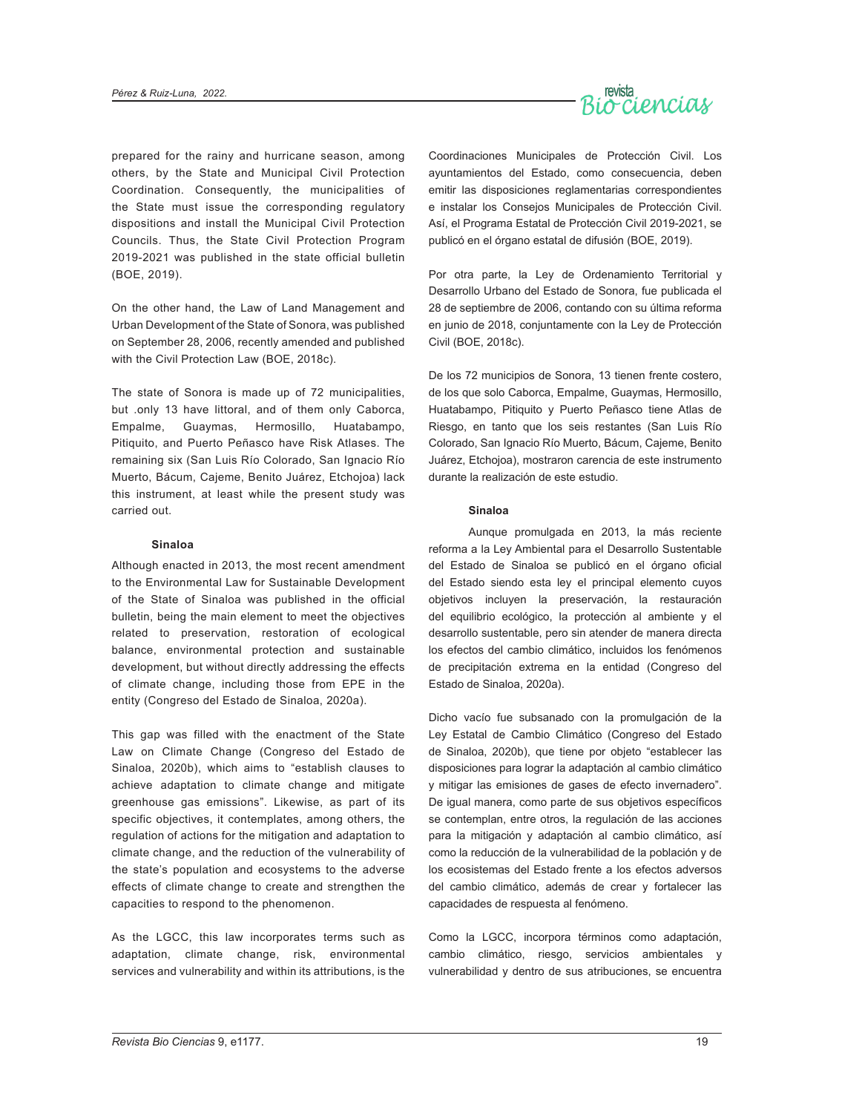

prepared for the rainy and hurricane season, among others, by the State and Municipal Civil Protection Coordination. Consequently, the municipalities of the State must issue the corresponding regulatory dispositions and install the Municipal Civil Protection Councils. Thus, the State Civil Protection Program 2019-2021 was published in the state official bulletin (BOE, 2019).

On the other hand, the Law of Land Management and Urban Development of the State of Sonora, was published on September 28, 2006, recently amended and published with the Civil Protection Law (BOE, 2018c).

The state of Sonora is made up of 72 municipalities, but .only 13 have littoral, and of them only Caborca, Empalme, Guaymas, Hermosillo, Huatabampo, Pitiquito, and Puerto Peñasco have Risk Atlases. The remaining six (San Luis Río Colorado, San Ignacio Río Muerto, Bácum, Cajeme, Benito Juárez, Etchojoa) lack this instrument, at least while the present study was carried out.

#### **Sinaloa**

Although enacted in 2013, the most recent amendment to the Environmental Law for Sustainable Development of the State of Sinaloa was published in the official bulletin, being the main element to meet the objectives related to preservation, restoration of ecological balance, environmental protection and sustainable development, but without directly addressing the effects of climate change, including those from EPE in the entity (Congreso del Estado de Sinaloa, 2020a).

This gap was filled with the enactment of the State Law on Climate Change (Congreso del Estado de Sinaloa, 2020b), which aims to "establish clauses to achieve adaptation to climate change and mitigate greenhouse gas emissions". Likewise, as part of its specific objectives, it contemplates, among others, the regulation of actions for the mitigation and adaptation to climate change, and the reduction of the vulnerability of the state's population and ecosystems to the adverse effects of climate change to create and strengthen the capacities to respond to the phenomenon.

As the LGCC, this law incorporates terms such as adaptation, climate change, risk, environmental services and vulnerability and within its attributions, is the

Coordinaciones Municipales de Protección Civil. Los ayuntamientos del Estado, como consecuencia, deben emitir las disposiciones reglamentarias correspondientes e instalar los Consejos Municipales de Protección Civil. Así, el Programa Estatal de Protección Civil 2019-2021, se publicó en el órgano estatal de difusión (BOE, 2019).

Por otra parte, la Ley de Ordenamiento Territorial y Desarrollo Urbano del Estado de Sonora, fue publicada el 28 de septiembre de 2006, contando con su última reforma en junio de 2018, conjuntamente con la Ley de Protección Civil (BOE, 2018c).

De los 72 municipios de Sonora, 13 tienen frente costero, de los que solo Caborca, Empalme, Guaymas, Hermosillo, Huatabampo, Pitiquito y Puerto Peñasco tiene Atlas de Riesgo, en tanto que los seis restantes (San Luis Río Colorado, San Ignacio Río Muerto, Bácum, Cajeme, Benito Juárez, Etchojoa), mostraron carencia de este instrumento durante la realización de este estudio.

#### **Sinaloa**

Aunque promulgada en 2013, la más reciente reforma a la Ley Ambiental para el Desarrollo Sustentable del Estado de Sinaloa se publicó en el órgano oficial del Estado siendo esta ley el principal elemento cuyos objetivos incluyen la preservación, la restauración del equilibrio ecológico, la protección al ambiente y el desarrollo sustentable, pero sin atender de manera directa los efectos del cambio climático, incluidos los fenómenos de precipitación extrema en la entidad (Congreso del Estado de Sinaloa, 2020a).

Dicho vacío fue subsanado con la promulgación de la Ley Estatal de Cambio Climático (Congreso del Estado de Sinaloa, 2020b), que tiene por objeto "establecer las disposiciones para lograr la adaptación al cambio climático y mitigar las emisiones de gases de efecto invernadero". De igual manera, como parte de sus objetivos específicos se contemplan, entre otros, la regulación de las acciones para la mitigación y adaptación al cambio climático, así como la reducción de la vulnerabilidad de la población y de los ecosistemas del Estado frente a los efectos adversos del cambio climático, además de crear y fortalecer las capacidades de respuesta al fenómeno.

Como la LGCC, incorpora términos como adaptación, cambio climático, riesgo, servicios ambientales y vulnerabilidad y dentro de sus atribuciones, se encuentra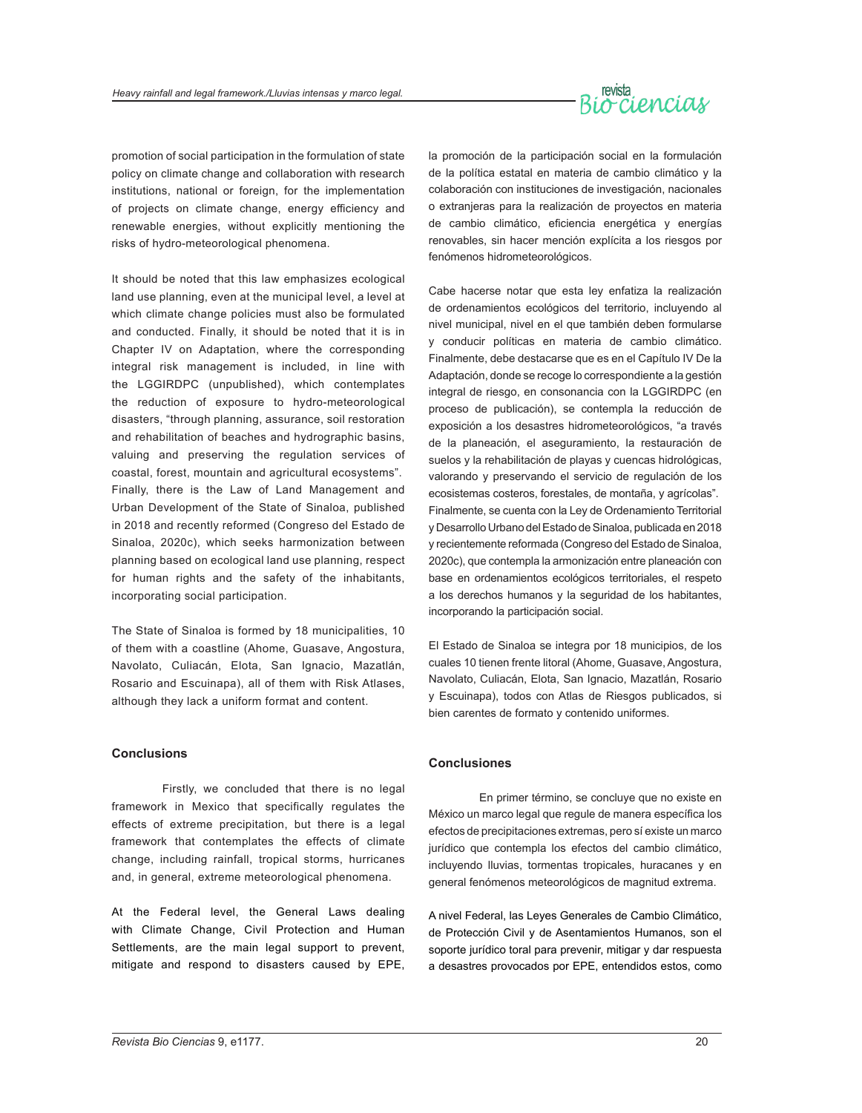

promotion of social participation in the formulation of state policy on climate change and collaboration with research institutions, national or foreign, for the implementation of projects on climate change, energy efficiency and renewable energies, without explicitly mentioning the risks of hydro-meteorological phenomena.

It should be noted that this law emphasizes ecological land use planning, even at the municipal level, a level at which climate change policies must also be formulated and conducted. Finally, it should be noted that it is in Chapter IV on Adaptation, where the corresponding integral risk management is included, in line with the LGGIRDPC (unpublished), which contemplates the reduction of exposure to hydro-meteorological disasters, "through planning, assurance, soil restoration and rehabilitation of beaches and hydrographic basins, valuing and preserving the regulation services of coastal, forest, mountain and agricultural ecosystems". Finally, there is the Law of Land Management and Urban Development of the State of Sinaloa, published in 2018 and recently reformed (Congreso del Estado de Sinaloa, 2020c), which seeks harmonization between planning based on ecological land use planning, respect for human rights and the safety of the inhabitants, incorporating social participation.

The State of Sinaloa is formed by 18 municipalities, 10 of them with a coastline (Ahome, Guasave, Angostura, Navolato, Culiacán, Elota, San Ignacio, Mazatlán, Rosario and Escuinapa), all of them with Risk Atlases, although they lack a uniform format and content.

#### **Conclusions**

Firstly, we concluded that there is no legal framework in Mexico that specifically regulates the effects of extreme precipitation, but there is a legal framework that contemplates the effects of climate change, including rainfall, tropical storms, hurricanes and, in general, extreme meteorological phenomena.

At the Federal level, the General Laws dealing with Climate Change, Civil Protection and Human Settlements, are the main legal support to prevent, mitigate and respond to disasters caused by EPE, la promoción de la participación social en la formulación de la política estatal en materia de cambio climático y la colaboración con instituciones de investigación, nacionales o extranjeras para la realización de proyectos en materia de cambio climático, eficiencia energética y energías renovables, sin hacer mención explícita a los riesgos por fenómenos hidrometeorológicos.

Cabe hacerse notar que esta ley enfatiza la realización de ordenamientos ecológicos del territorio, incluyendo al nivel municipal, nivel en el que también deben formularse y conducir políticas en materia de cambio climático. Finalmente, debe destacarse que es en el Capítulo IV De la Adaptación, donde se recoge lo correspondiente a la gestión integral de riesgo, en consonancia con la LGGIRDPC (en proceso de publicación), se contempla la reducción de exposición a los desastres hidrometeorológicos, "a través de la planeación, el aseguramiento, la restauración de suelos y la rehabilitación de playas y cuencas hidrológicas, valorando y preservando el servicio de regulación de los ecosistemas costeros, forestales, de montaña, y agrícolas". Finalmente, se cuenta con la Ley de Ordenamiento Territorial y Desarrollo Urbano del Estado de Sinaloa, publicada en 2018 y recientemente reformada (Congreso del Estado de Sinaloa, 2020c), que contempla la armonización entre planeación con base en ordenamientos ecológicos territoriales, el respeto a los derechos humanos y la seguridad de los habitantes, incorporando la participación social.

El Estado de Sinaloa se integra por 18 municipios, de los cuales 10 tienen frente litoral (Ahome, Guasave, Angostura, Navolato, Culiacán, Elota, San Ignacio, Mazatlán, Rosario y Escuinapa), todos con Atlas de Riesgos publicados, si bien carentes de formato y contenido uniformes.

#### **Conclusiones**

En primer término, se concluye que no existe en México un marco legal que regule de manera específica los efectos de precipitaciones extremas, pero sí existe un marco jurídico que contempla los efectos del cambio climático, incluyendo lluvias, tormentas tropicales, huracanes y en general fenómenos meteorológicos de magnitud extrema.

A nivel Federal, las Leyes Generales de Cambio Climático, de Protección Civil y de Asentamientos Humanos, son el soporte jurídico toral para prevenir, mitigar y dar respuesta a desastres provocados por EPE, entendidos estos, como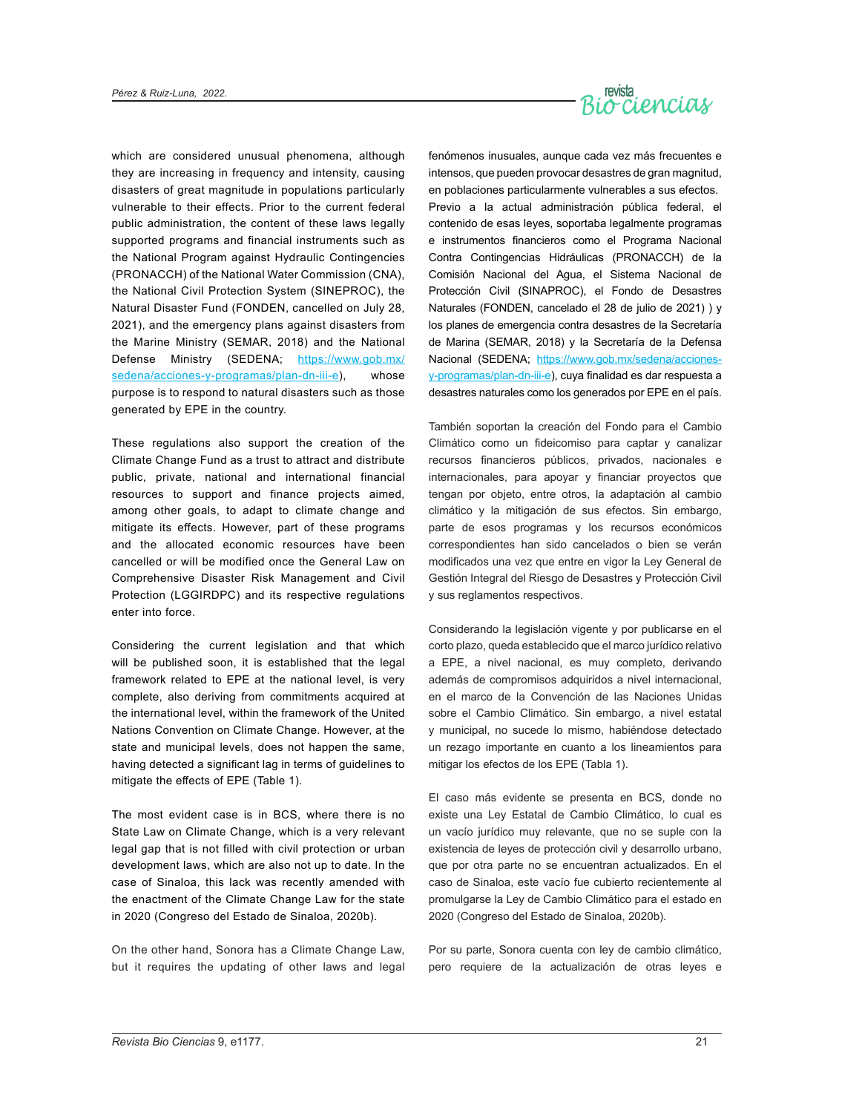

which are considered unusual phenomena, although they are increasing in frequency and intensity, causing disasters of great magnitude in populations particularly vulnerable to their effects. Prior to the current federal public administration, the content of these laws legally supported programs and financial instruments such as the National Program against Hydraulic Contingencies (PRONACCH) of the National Water Commission (CNA), the National Civil Protection System (SINEPROC), the Natural Disaster Fund (FONDEN, cancelled on July 28, 2021), and the emergency plans against disasters from the Marine Ministry (SEMAR, 2018) and the National Defense Ministry (SEDENA; [https://www.gob.mx/](https://www.gob.mx/sedena/acciones-y-programas/plan-dn-iii-e) [sedena/acciones-y-programas/plan-dn-iii-e\)](https://www.gob.mx/sedena/acciones-y-programas/plan-dn-iii-e), whose purpose is to respond to natural disasters such as those generated by EPE in the country.

These regulations also support the creation of the Climate Change Fund as a trust to attract and distribute public, private, national and international financial resources to support and finance projects aimed, among other goals, to adapt to climate change and mitigate its effects. However, part of these programs and the allocated economic resources have been cancelled or will be modified once the General Law on Comprehensive Disaster Risk Management and Civil Protection (LGGIRDPC) and its respective regulations enter into force.

Considering the current legislation and that which will be published soon, it is established that the legal framework related to EPE at the national level, is very complete, also deriving from commitments acquired at the international level, within the framework of the United Nations Convention on Climate Change. However, at the state and municipal levels, does not happen the same, having detected a significant lag in terms of guidelines to mitigate the effects of EPE (Table 1).

The most evident case is in BCS, where there is no State Law on Climate Change, which is a very relevant legal gap that is not filled with civil protection or urban development laws, which are also not up to date. In the case of Sinaloa, this lack was recently amended with the enactment of the Climate Change Law for the state in 2020 (Congreso del Estado de Sinaloa, 2020b).

On the other hand, Sonora has a Climate Change Law, but it requires the updating of other laws and legal fenómenos inusuales, aunque cada vez más frecuentes e intensos, que pueden provocar desastres de gran magnitud, en poblaciones particularmente vulnerables a sus efectos. Previo a la actual administración pública federal, el contenido de esas leyes, soportaba legalmente programas e instrumentos financieros como el Programa Nacional Contra Contingencias Hidráulicas (PRONACCH) de la Comisión Nacional del Agua, el Sistema Nacional de Protección Civil (SINAPROC), el Fondo de Desastres Naturales (FONDEN, cancelado el 28 de julio de 2021) ) y los planes de emergencia contra desastres de la Secretaría de Marina (SEMAR, 2018) y la Secretaría de la Defensa Nacional (SEDENA; [https://www.gob.mx/sedena/acciones](https://www.gob.mx/sedena/acciones-y-programas/plan-dn-iii-e)[y-programas/plan-dn-iii-e](https://www.gob.mx/sedena/acciones-y-programas/plan-dn-iii-e)), cuya finalidad es dar respuesta a desastres naturales como los generados por EPE en el país.

También soportan la creación del Fondo para el Cambio Climático como un fideicomiso para captar y canalizar recursos financieros públicos, privados, nacionales e internacionales, para apoyar y financiar proyectos que tengan por objeto, entre otros, la adaptación al cambio climático y la mitigación de sus efectos. Sin embargo, parte de esos programas y los recursos económicos correspondientes han sido cancelados o bien se verán modificados una vez que entre en vigor la Ley General de Gestión Integral del Riesgo de Desastres y Protección Civil y sus reglamentos respectivos.

Considerando la legislación vigente y por publicarse en el corto plazo, queda establecido que el marco jurídico relativo a EPE, a nivel nacional, es muy completo, derivando además de compromisos adquiridos a nivel internacional, en el marco de la Convención de las Naciones Unidas sobre el Cambio Climático. Sin embargo, a nivel estatal y municipal, no sucede lo mismo, habiéndose detectado un rezago importante en cuanto a los lineamientos para mitigar los efectos de los EPE (Tabla 1).

El caso más evidente se presenta en BCS, donde no existe una Ley Estatal de Cambio Climático, lo cual es un vacío jurídico muy relevante, que no se suple con la existencia de leyes de protección civil y desarrollo urbano, que por otra parte no se encuentran actualizados. En el caso de Sinaloa, este vacío fue cubierto recientemente al promulgarse la Ley de Cambio Climático para el estado en 2020 (Congreso del Estado de Sinaloa, 2020b).

Por su parte, Sonora cuenta con ley de cambio climático, pero requiere de la actualización de otras leyes e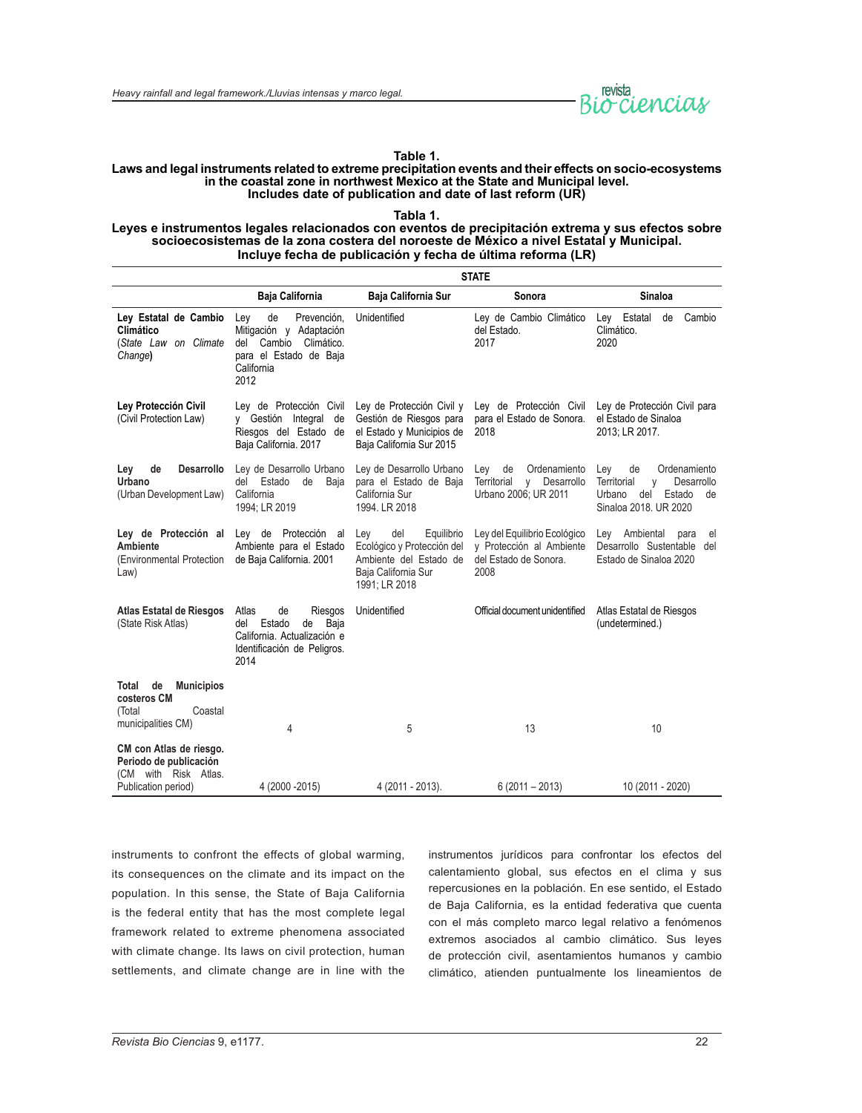

#### **Table 1.**

#### **Laws and legal instruments related to extreme precipitation events and their effects on socio-ecosystems in the coastal zone in northwest Mexico at the State and Municipal level. Includes date of publication and date of last reform (UR)**

**Tabla 1.**

#### **Leyes e instrumentos legales relacionados con eventos de precipitación extrema y sus efectos sobre socioecosistemas de la zona costera del noroeste de México a nivel Estatal y Municipal. Incluye fecha de publicación y fecha de última reforma (LR)**

|                                                                                            | <b>STATE</b>                                                                                                                       |                                                                                                                          |                                                                                           |                                                                                                                       |
|--------------------------------------------------------------------------------------------|------------------------------------------------------------------------------------------------------------------------------------|--------------------------------------------------------------------------------------------------------------------------|-------------------------------------------------------------------------------------------|-----------------------------------------------------------------------------------------------------------------------|
|                                                                                            | Baja California                                                                                                                    | <b>Baja California Sur</b>                                                                                               | Sonora                                                                                    | Sinaloa                                                                                                               |
| Ley Estatal de Cambio<br>Climático<br>(State Law on Climate<br>Change)                     | de<br>Prevención,<br>Ley<br>Mitigación y Adaptación<br>Cambio<br>Climático.<br>del<br>para el Estado de Baja<br>California<br>2012 | Unidentified                                                                                                             | Ley de Cambio Climático<br>del Estado.<br>2017                                            | Ley Estatal<br>Cambio<br>de<br>Climático.<br>2020                                                                     |
| Ley Protección Civil<br>(Civil Protection Law)                                             | Ley de Protección Civil<br>y Gestión Integral<br>de<br>Riesgos del Estado de<br>Baja California. 2017                              | Ley de Protección Civil y<br>Gestión de Riesgos para<br>el Estado y Municipios de<br>Baja California Sur 2015            | Lev de Protección Civil<br>para el Estado de Sonora.<br>2018                              | Ley de Protección Civil para<br>el Estado de Sinaloa<br>2013: LR 2017.                                                |
| <b>Desarrollo</b><br>Ley<br>de<br>Urbano<br>(Urban Development Law)                        | Ley de Desarrollo Urbano<br>Estado<br>de<br>Baja<br>del<br>California<br>1994; LR 2019                                             | Ley de Desarrollo Urbano<br>para el Estado de Baja<br>California Sur<br>1994. LR 2018                                    | Ordenamiento<br>Lev<br>de<br>Territorial<br>Desarrollo<br>V<br>Urbano 2006; UR 2011       | Ordenamiento<br>Ley<br>de<br>Territorial<br>Desarrollo<br>y<br>Urbano<br>del<br>Estado<br>de<br>Sinaloa 2018, UR 2020 |
| Ley de Protección al<br>Ambiente<br>(Environmental Protection<br>Law)                      | Ley de Protección<br>al<br>Ambiente para el Estado<br>de Baja California. 2001                                                     | del<br>Equilibrio<br>Ley<br>Ecológico y Protección del<br>Ambiente del Estado de<br>Baja California Sur<br>1991; LR 2018 | Ley del Equilibrio Ecológico<br>y Protección al Ambiente<br>del Estado de Sonora.<br>2008 | Lev Ambiental<br>para<br>el<br>Desarrollo Sustentable<br>del<br>Estado de Sinaloa 2020                                |
| Atlas Estatal de Riesgos<br>(State Risk Atlas)                                             | Atlas<br>de<br>Riesgos<br>de<br>Baja<br>del<br>Estado<br>California. Actualización e<br>Identificación de Peligros.<br>2014        | Unidentified                                                                                                             | Official document unidentified                                                            | Atlas Estatal de Riesgos<br>(undetermined.)                                                                           |
| de<br><b>Municipios</b><br>Total<br>costeros CM<br>(Total<br>Coastal<br>municipalities CM) | 4                                                                                                                                  | 5                                                                                                                        | 13                                                                                        | 10                                                                                                                    |
| CM con Atlas de riesgo.<br>Periodo de publicación<br>(CM with Risk Atlas.                  |                                                                                                                                    |                                                                                                                          |                                                                                           |                                                                                                                       |
| Publication period)                                                                        | 4 (2000 - 2015)                                                                                                                    | 4 (2011 - 2013).                                                                                                         | $6(2011 - 2013)$                                                                          | 10 (2011 - 2020)                                                                                                      |

instruments to confront the effects of global warming, its consequences on the climate and its impact on the population. In this sense, the State of Baja California is the federal entity that has the most complete legal framework related to extreme phenomena associated with climate change. Its laws on civil protection, human settlements, and climate change are in line with the instrumentos jurídicos para confrontar los efectos del calentamiento global, sus efectos en el clima y sus repercusiones en la población. En ese sentido, el Estado de Baja California, es la entidad federativa que cuenta con el más completo marco legal relativo a fenómenos extremos asociados al cambio climático. Sus leyes de protección civil, asentamientos humanos y cambio climático, atienden puntualmente los lineamientos de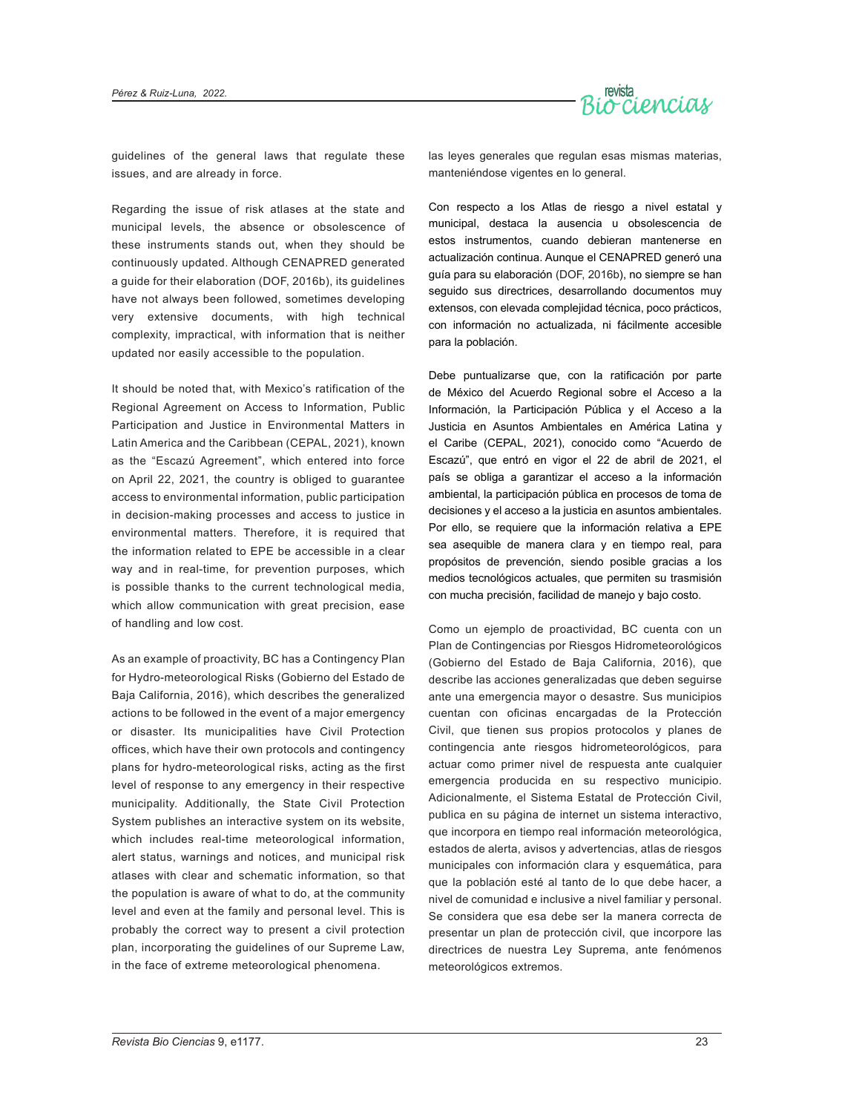

guidelines of the general laws that regulate these issues, and are already in force.

Regarding the issue of risk atlases at the state and municipal levels, the absence or obsolescence of these instruments stands out, when they should be continuously updated. Although CENAPRED generated a guide for their elaboration (DOF, 2016b), its guidelines have not always been followed, sometimes developing very extensive documents, with high technical complexity, impractical, with information that is neither updated nor easily accessible to the population.

It should be noted that, with Mexico's ratification of the Regional Agreement on Access to Information, Public Participation and Justice in Environmental Matters in Latin America and the Caribbean (CEPAL, 2021), known as the "Escazú Agreement", which entered into force on April 22, 2021, the country is obliged to guarantee access to environmental information, public participation in decision-making processes and access to justice in environmental matters. Therefore, it is required that the information related to EPE be accessible in a clear way and in real-time, for prevention purposes, which is possible thanks to the current technological media, which allow communication with great precision, ease of handling and low cost.

As an example of proactivity, BC has a Contingency Plan for Hydro-meteorological Risks (Gobierno del Estado de Baja California, 2016), which describes the generalized actions to be followed in the event of a major emergency or disaster. Its municipalities have Civil Protection offices, which have their own protocols and contingency plans for hydro-meteorological risks, acting as the first level of response to any emergency in their respective municipality. Additionally, the State Civil Protection System publishes an interactive system on its website, which includes real-time meteorological information, alert status, warnings and notices, and municipal risk atlases with clear and schematic information, so that the population is aware of what to do, at the community level and even at the family and personal level. This is probably the correct way to present a civil protection plan, incorporating the guidelines of our Supreme Law, in the face of extreme meteorological phenomena.

las leyes generales que regulan esas mismas materias, manteniéndose vigentes en lo general.

Con respecto a los Atlas de riesgo a nivel estatal y municipal, destaca la ausencia u obsolescencia de estos instrumentos, cuando debieran mantenerse en actualización continua. Aunque el CENAPRED generó una guía para su elaboración (DOF, 2016b), no siempre se han seguido sus directrices, desarrollando documentos muy extensos, con elevada complejidad técnica, poco prácticos, con información no actualizada, ni fácilmente accesible para la población.

Debe puntualizarse que, con la ratificación por parte de México del Acuerdo Regional sobre el Acceso a la Información, la Participación Pública y el Acceso a la Justicia en Asuntos Ambientales en América Latina y el Caribe (CEPAL, 2021), conocido como "Acuerdo de Escazú", que entró en vigor el 22 de abril de 2021, el país se obliga a garantizar el acceso a la información ambiental, la participación pública en procesos de toma de decisiones y el acceso a la justicia en asuntos ambientales. Por ello, se requiere que la información relativa a EPE sea asequible de manera clara y en tiempo real, para propósitos de prevención, siendo posible gracias a los medios tecnológicos actuales, que permiten su trasmisión con mucha precisión, facilidad de manejo y bajo costo.

Como un ejemplo de proactividad, BC cuenta con un Plan de Contingencias por Riesgos Hidrometeorológicos (Gobierno del Estado de Baja California, 2016), que describe las acciones generalizadas que deben seguirse ante una emergencia mayor o desastre. Sus municipios cuentan con oficinas encargadas de la Protección Civil, que tienen sus propios protocolos y planes de contingencia ante riesgos hidrometeorológicos, para actuar como primer nivel de respuesta ante cualquier emergencia producida en su respectivo municipio. Adicionalmente, el Sistema Estatal de Protección Civil, publica en su página de internet un sistema interactivo, que incorpora en tiempo real información meteorológica, estados de alerta, avisos y advertencias, atlas de riesgos municipales con información clara y esquemática, para que la población esté al tanto de lo que debe hacer, a nivel de comunidad e inclusive a nivel familiar y personal. Se considera que esa debe ser la manera correcta de presentar un plan de protección civil, que incorpore las directrices de nuestra Ley Suprema, ante fenómenos meteorológicos extremos.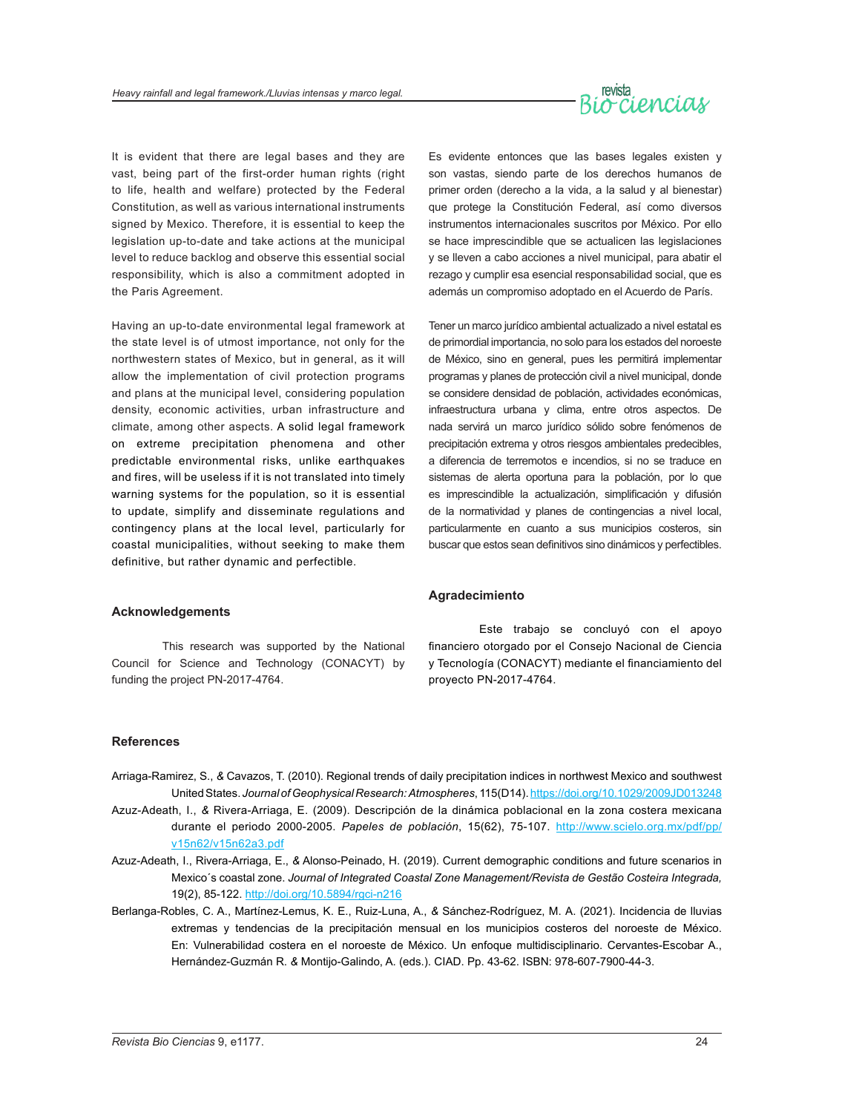

It is evident that there are legal bases and they are vast, being part of the first-order human rights (right to life, health and welfare) protected by the Federal Constitution, as well as various international instruments signed by Mexico. Therefore, it is essential to keep the legislation up-to-date and take actions at the municipal level to reduce backlog and observe this essential social responsibility, which is also a commitment adopted in the Paris Agreement.

Having an up-to-date environmental legal framework at the state level is of utmost importance, not only for the northwestern states of Mexico, but in general, as it will allow the implementation of civil protection programs and plans at the municipal level, considering population density, economic activities, urban infrastructure and climate, among other aspects. A solid legal framework on extreme precipitation phenomena and other predictable environmental risks, unlike earthquakes and fires, will be useless if it is not translated into timely warning systems for the population, so it is essential to update, simplify and disseminate regulations and contingency plans at the local level, particularly for coastal municipalities, without seeking to make them definitive, but rather dynamic and perfectible.

#### **Acknowledgements**

This research was supported by the National Council for Science and Technology (CONACYT) by funding the project PN-2017-4764.

Es evidente entonces que las bases legales existen y son vastas, siendo parte de los derechos humanos de primer orden (derecho a la vida, a la salud y al bienestar) que protege la Constitución Federal, así como diversos instrumentos internacionales suscritos por México. Por ello se hace imprescindible que se actualicen las legislaciones y se lleven a cabo acciones a nivel municipal, para abatir el rezago y cumplir esa esencial responsabilidad social, que es además un compromiso adoptado en el Acuerdo de París.

Tener un marco jurídico ambiental actualizado a nivel estatal es de primordial importancia, no solo para los estados del noroeste de México, sino en general, pues les permitirá implementar programas y planes de protección civil a nivel municipal, donde se considere densidad de población, actividades económicas, infraestructura urbana y clima, entre otros aspectos. De nada servirá un marco jurídico sólido sobre fenómenos de precipitación extrema y otros riesgos ambientales predecibles, a diferencia de terremotos e incendios, si no se traduce en sistemas de alerta oportuna para la población, por lo que es imprescindible la actualización, simplificación y difusión de la normatividad y planes de contingencias a nivel local, particularmente en cuanto a sus municipios costeros, sin buscar que estos sean definitivos sino dinámicos y perfectibles.

#### **Agradecimiento**

Este trabajo se concluyó con el apoyo financiero otorgado por el Consejo Nacional de Ciencia y Tecnología (CONACYT) mediante el financiamiento del proyecto PN-2017-4764.

#### **References**

- Arriaga-Ramirez, S., *&* Cavazos, T. (2010). Regional trends of daily precipitation indices in northwest Mexico and southwest United States. *Journal of Geophysical Research:Atmospheres*, 115(D14).<https://doi.org/10.1029/2009JD013248>
- Azuz-Adeath, I., *&* Rivera-Arriaga, E. (2009). Descripción de la dinámica poblacional en la zona costera mexicana durante el periodo 2000-2005. *Papeles de población*, 15(62), 75-107. http://www.scielo.org.mx/pdf/pp/ v15n62/v15n62a3.pdf
- Azuz-Adeath, I., Rivera-Arriaga, E., *&* Alonso-Peinado, H. (2019). Current demographic conditions and future scenarios in Mexico´s coastal zone. *Journal of Integrated Coastal Zone Management/Revista de Gestão Costeira Integrada,*  19(2), 85-122.<http://doi.org/10.5894/rgci-n216>
- Berlanga-Robles, C. A., Martínez-Lemus, K. E., Ruiz-Luna, A., *&* Sánchez-Rodríguez, M. A. (2021). Incidencia de lluvias extremas y tendencias de la precipitación mensual en los municipios costeros del noroeste de México. En: Vulnerabilidad costera en el noroeste de México. Un enfoque multidisciplinario. Cervantes-Escobar A., Hernández-Guzmán R. *&* Montijo-Galindo, A. (eds.). CIAD. Pp. 43-62. ISBN: 978-607-7900-44-3.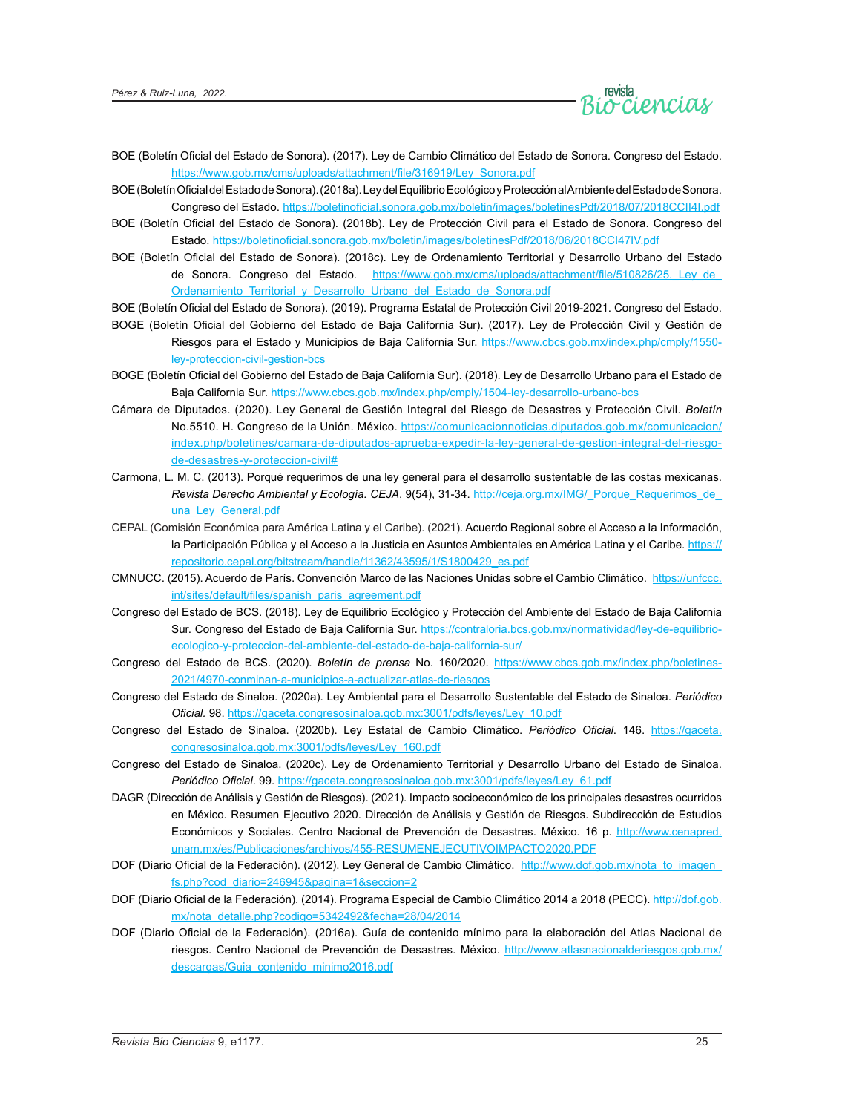

- BOE (Boletín Oficial del Estado de Sonora). (2017). Ley de Cambio Climático del Estado de Sonora. Congreso del Estado. [https://www.gob.mx/cms/uploads/attachment/file/316919/Ley\\_Sonora.pdf](https://www.gob.mx/cms/uploads/attachment/file/316919/Ley_Sonora.pdf)
- BOE (Boletín Oficial del Estado de Sonora). (2018a). Ley del Equilibrio Ecológico y Protección al Ambiente del Estado de Sonora. Congreso del Estado. https://boletinoficial.sonora.gob.mx/boletin/images/boletinesPdf/2018/07/2018CCII4I.pdf
- BOE (Boletín Oficial del Estado de Sonora). (2018b). Ley de Protección Civil para el Estado de Sonora. Congreso del Estado. https://boletinoficial.sonora.gob.mx/boletin/images/boletinesPdf/2018/06/2018CCI47IV.pdf
- BOE (Boletín Oficial del Estado de Sonora). (2018c). Ley de Ordenamiento Territorial y Desarrollo Urbano del Estado de Sonora. Congreso del Estado. https://www.gob.mx/cms/uploads/attachment/file/510826/25. Ley de Ordenamiento Territorial y Desarrollo Urbano del Estado de Sonora.pdf

BOE (Boletín Oficial del Estado de Sonora). (2019). Programa Estatal de Protección Civil 2019-2021. Congreso del Estado.

- BOGE (Boletín Oficial del Gobierno del Estado de Baja California Sur). (2017). Ley de Protección Civil y Gestión de Riesgos para el Estado y Municipios de Baja California Sur. [https://www.cbcs.gob.mx/index.php/cmply/1550](https://www.cbcs.gob.mx/index.php/cmply/1550-ley-proteccion-civil-gestion-bcs) [ley-proteccion-civil-gestion-bcs](https://www.cbcs.gob.mx/index.php/cmply/1550-ley-proteccion-civil-gestion-bcs)
- BOGE (Boletín Oficial del Gobierno del Estado de Baja California Sur). (2018). Ley de Desarrollo Urbano para el Estado de Baja California Sur. <https://www.cbcs.gob.mx/index.php/cmply/1504-ley-desarrollo-urbano-bcs>
- Cámara de Diputados. (2020). Ley General de Gestión Integral del Riesgo de Desastres y Protección Civil. *Boletín* No.5510. H. Congreso de la Unión. México. [https://comunicacionnoticias.diputados.gob.mx/comunicacion/](https://comunicacionnoticias.diputados.gob.mx/comunicacion/index.php/boletines/camara-de-diputados-aprueba-expedir-la-ley-general-de-gestion-integral-del-riesgo-de-desastres-y-proteccion-civil) [index.php/boletines/camara-de-diputados-aprueba-expedir-la-ley-general-de-gestion-integral-del-riesgo](https://comunicacionnoticias.diputados.gob.mx/comunicacion/index.php/boletines/camara-de-diputados-aprueba-expedir-la-ley-general-de-gestion-integral-del-riesgo-de-desastres-y-proteccion-civil)[de-desastres-y-proteccion-civil#](https://comunicacionnoticias.diputados.gob.mx/comunicacion/index.php/boletines/camara-de-diputados-aprueba-expedir-la-ley-general-de-gestion-integral-del-riesgo-de-desastres-y-proteccion-civil)
- Carmona, L. M. C. (2013). Porqué requerimos de una ley general para el desarrollo sustentable de las costas mexicanas. *Revista Derecho Ambiental y Ecología. CEJA*, 9(54), 31-34. [http://ceja.org.mx/IMG/\\_Porque\\_Requerimos\\_de\\_](http://ceja.org.mx/IMG/_Porque_Requerimos_de_una_Ley_General.pdf) una Ley General.pdf
- CEPAL (Comisión Económica para América Latina y el Caribe). (2021). Acuerdo Regional sobre el Acceso a la Información, la Participación Pública y el Acceso a la Justicia en Asuntos Ambientales en América Latina y el Caribe. [https://](https://repositorio.cepal.org/bitstream/handle/11362/43595/1/S1800429_es.pdf) [repositorio.cepal.org/bitstream/handle/11362/43595/1/S1800429\\_es.pdf](https://repositorio.cepal.org/bitstream/handle/11362/43595/1/S1800429_es.pdf)
- CMNUCC. (2015). Acuerdo de París. Convención Marco de las Naciones Unidas sobre el Cambio Climático. [https://unfccc.](https://unfccc.int/sites/default/files/spanish_paris_agreement.pdf) [int/sites/default/files/spanish\\_paris\\_agreement.pdf](https://unfccc.int/sites/default/files/spanish_paris_agreement.pdf)
- Congreso del Estado de BCS. (2018). Ley de Equilibrio Ecológico y Protección del Ambiente del Estado de Baja California Sur. Congreso del Estado de Baja California Sur. [https://contraloria.bcs.gob.mx/normatividad/ley-de-equilibrio](https://contraloria.bcs.gob.mx/normatividad/ley-de-equilibrio-ecologico-y-proteccion-del-ambiente-del-estado-de-baja-california-sur/)[ecologico-y-proteccion-del-ambiente-del-estado-de-baja-california-sur/](https://contraloria.bcs.gob.mx/normatividad/ley-de-equilibrio-ecologico-y-proteccion-del-ambiente-del-estado-de-baja-california-sur/)
- Congreso del Estado de BCS. (2020). *Boletín de prensa* No. 160/2020. [https://www.cbcs.gob.mx/index.php/boletines-](https://www.cbcs.gob.mx/index.php/boletines-2021/4970-conminan-a-municipios-a-actualizar-atlas-de-riesgos)[2021/4970-conminan-a-municipios-a-actualizar-atlas-de-riesgos](https://www.cbcs.gob.mx/index.php/boletines-2021/4970-conminan-a-municipios-a-actualizar-atlas-de-riesgos)
- Congreso del Estado de Sinaloa. (2020a). Ley Ambiental para el Desarrollo Sustentable del Estado de Sinaloa. *Periódico Oficial.* 98. [https://gaceta.congresosinaloa.gob.mx:3001/pdfs/leyes/Ley\\_10.pdf](https://gaceta.congresosinaloa.gob.mx:3001/pdfs/leyes/Ley_10.pdf)
- Congreso del Estado de Sinaloa. (2020b). Ley Estatal de Cambio Climático. *Periódico Oficial*. 146. [https://gaceta.](https://gaceta.congresosinaloa.gob.mx:3001/pdfs/leyes/Ley_160.pdf) [congresosinaloa.gob.mx:3001/pdfs/leyes/Ley\\_160.pdf](https://gaceta.congresosinaloa.gob.mx:3001/pdfs/leyes/Ley_160.pdf)
- Congreso del Estado de Sinaloa. (2020c). Ley de Ordenamiento Territorial y Desarrollo Urbano del Estado de Sinaloa. *Periódico Oficial*. 99. [https://gaceta.congresosinaloa.gob.mx:3001/pdfs/leyes/Ley\\_61.pdf](https://gaceta.congresosinaloa.gob.mx:3001/pdfs/leyes/Ley_61.pdf)
- DAGR (Dirección de Análisis y Gestión de Riesgos). (2021). Impacto socioeconómico de los principales desastres ocurridos en México. Resumen Ejecutivo 2020. Dirección de Análisis y Gestión de Riesgos. Subdirección de Estudios Económicos y Sociales. Centro Nacional de Prevención de Desastres. México. 16 p. [http://www.cenapred.](http://www.cenapred.unam.mx/es/Publicaciones/archivos/455-RESUMENEJECUTIVOIMPACTO2020.PDF) [unam.mx/es/Publicaciones/archivos/455-RESUMENEJECUTIVOIMPACTO2020.PDF](http://www.cenapred.unam.mx/es/Publicaciones/archivos/455-RESUMENEJECUTIVOIMPACTO2020.PDF)
- DOF (Diario Oficial de la Federación). (2012). Ley General de Cambio Climático. http://www.dof.gob.mx/nota\_to\_imagen [fs.php?cod\\_diario=246945&pagina=1&seccion=2](http://www.dof.gob.mx/nota_to_imagen_fs.php?cod_diario=246945&pagina=1&seccion=2)
- DOF (Diario Oficial de la Federación). (2014). Programa Especial de Cambio Climático 2014 a 2018 (PECC). [http://dof.gob.](http://dof.gob.mx/nota_detalle.php?codigo=5342492&fecha=28/04/2014) [mx/nota\\_detalle.php?codigo=5342492&fecha=28/04/2014](http://dof.gob.mx/nota_detalle.php?codigo=5342492&fecha=28/04/2014)
- DOF (Diario Oficial de la Federación). (2016a). Guía de contenido mínimo para la elaboración del Atlas Nacional de riesgos. Centro Nacional de Prevención de Desastres. México. [http://www.atlasnacionalderiesgos.gob.mx/](http://www.atlasnacionalderiesgos.gob.mx/descargas/Guia_contenido_minimo2016.pdf) descargas/[Guia\\_contenido\\_minimo2016.pdf](http://www.atlasnacionalderiesgos.gob.mx/descargas/Guia_contenido_minimo2016.pdf)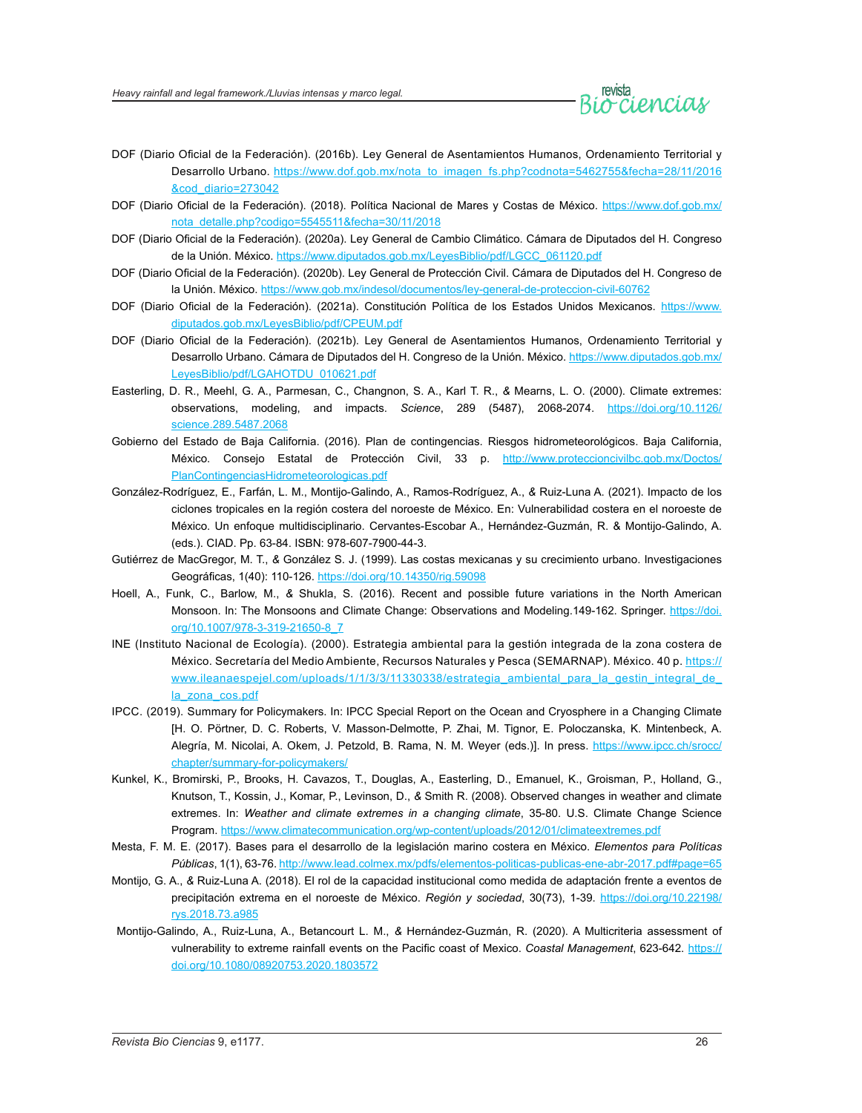

- DOF (Diario Oficial de la Federación). (2016b). Ley General de Asentamientos Humanos, Ordenamiento Territorial y Desarrollo Urbano. [https://www.dof.gob.mx/nota\\_to\\_imagen\\_fs.php?codnota=5462755&fecha=28/11/2016](https://www.dof.gob.mx/nota_to_imagen_fs.php?codnota=5462755&fecha=28/11/2016&cod_diario=273042) [&cod\\_diario=273042](https://www.dof.gob.mx/nota_to_imagen_fs.php?codnota=5462755&fecha=28/11/2016&cod_diario=273042)
- DOF (Diario Oficial de la Federación). (2018). Política Nacional de Mares y Costas de México. [https://www.dof.gob.mx/](https://www.dof.gob.mx/nota_detalle.php?codigo=5545511&fecha=30/11/2018) [nota\\_detalle.php?codigo=5545511&fecha=30/11/2018](https://www.dof.gob.mx/nota_detalle.php?codigo=5545511&fecha=30/11/2018)
- DOF (Diario Oficial de la Federación). (2020a). Ley General de Cambio Climático. Cámara de Diputados del H. Congreso de la Unión. México. [https://www.diputados.gob.mx/LeyesBiblio/pdf/LGCC\\_061120.pdf](https://www.diputados.gob.mx/LeyesBiblio/pdf/LGCC_061120.pdf)
- DOF (Diario Oficial de la Federación). (2020b). Ley General de Protección Civil. Cámara de Diputados del H. Congreso de la Unión. México.<https://www.gob.mx/indesol/documentos/ley-general-de-proteccion-civil-60762>
- DOF (Diario Oficial de la Federación). (2021a). Constitución Política de los Estados Unidos Mexicanos. [https://www.](https://www.diputados.gob.mx/LeyesBiblio/pdf/CPEUM.pdf) [diputados.gob.mx/LeyesBiblio/pdf/CPEUM.pdf](https://www.diputados.gob.mx/LeyesBiblio/pdf/CPEUM.pdf)
- DOF (Diario Oficial de la Federación). (2021b). Ley General de Asentamientos Humanos, Ordenamiento Territorial y Desarrollo Urbano. Cámara de Diputados del H. Congreso de la Unión. México. [https://www.diputados.gob.mx/](https://www.diputados.gob.mx/LeyesBiblio/pdf/LGAHOTDU_010621.pdf) [LeyesBiblio/pdf/LGAHOTDU\\_010621.pdf](https://www.diputados.gob.mx/LeyesBiblio/pdf/LGAHOTDU_010621.pdf)
- Easterling, D. R., Meehl, G. A., Parmesan, C., Changnon, S. A., Karl T. R., *&* Mearns, L. O. (2000). Climate extremes: observations, modeling, and impacts. *Science*, 289 (5487), 2068-2074. [https://doi.org/10.1126/](https://doi.org/10.1126/science.289.5487.2068) [science.289.5487.2068](https://doi.org/10.1126/science.289.5487.2068)
- Gobierno del Estado de Baja California. (2016). Plan de contingencias. Riesgos hidrometeorológicos. Baja California, México. Consejo Estatal de Protección Civil, 33 p. [http://www.proteccioncivilbc.gob.mx/Doctos/](http://www.proteccioncivilbc.gob.mx/Doctos/PlanContingenciasHidrometeorologicas.pdf) [PlanContingenciasHidrometeorologicas.pdf](http://www.proteccioncivilbc.gob.mx/Doctos/PlanContingenciasHidrometeorologicas.pdf)
- González-Rodríguez, E., Farfán, L. M., Montijo-Galindo, A., Ramos-Rodríguez, A., *&* Ruiz-Luna A. (2021). Impacto de los ciclones tropicales en la región costera del noroeste de México. En: Vulnerabilidad costera en el noroeste de México. Un enfoque multidisciplinario. Cervantes-Escobar A., Hernández-Guzmán, R. & Montijo-Galindo, A. (eds.). CIAD. Pp. 63-84. ISBN: 978-607-7900-44-3.
- Gutiérrez de MacGregor, M. T., *&* González S. J. (1999). Las costas mexicanas y su crecimiento urbano. Investigaciones Geográficas, 1(40): 110-126. <https://doi.org/10.14350/rig.59098>
- Hoell, A., Funk, C., Barlow, M., *&* Shukla, S. (2016). Recent and possible future variations in the North American Monsoon. In: The Monsoons and Climate Change: Observations and Modeling.149-162. Springer. [https://doi.](https://doi.org/10.1007/978-3-319-21650-8_7) [org/10.1007/978-3-319-21650-8\\_7](https://doi.org/10.1007/978-3-319-21650-8_7)
- INE (Instituto Nacional de Ecología). (2000). Estrategia ambiental para la gestión integrada de la zona costera de México. Secretaría del Medio Ambiente, Recursos Naturales y Pesca (SEMARNAP). México. 40 p. [https://](https://www.ileanaespejel.com/uploads/1/1/3/3/11330338/estrategia_ambiental_para_la_gestin_integral_de_la_zona_cos.pdf) [www.ileanaespejel.com/uploads/1/1/3/3/11330338/estrategia\\_ambiental\\_para\\_la\\_gestin\\_integral\\_de\\_](https://www.ileanaespejel.com/uploads/1/1/3/3/11330338/estrategia_ambiental_para_la_gestin_integral_de_la_zona_cos.pdf) [la\\_zona\\_cos.pdf](https://www.ileanaespejel.com/uploads/1/1/3/3/11330338/estrategia_ambiental_para_la_gestin_integral_de_la_zona_cos.pdf)
- IPCC. (2019). Summary for Policymakers. In: IPCC Special Report on the Ocean and Cryosphere in a Changing Climate [H. O. Pörtner, D. C. Roberts, V. Masson-Delmotte, P. Zhai, M. Tignor, E. Poloczanska, K. Mintenbeck, A. Alegría, M. Nicolai, A. Okem, J. Petzold, B. Rama, N. M. Weyer (eds.)]. In press. [https://www.ipcc.ch/srocc/](https://www.ipcc.ch/srocc/chapter/summary-for-policymakers/) [chapter/summary-for-policymakers/](https://www.ipcc.ch/srocc/chapter/summary-for-policymakers/)
- Kunkel, K., Bromirski, P., Brooks, H. Cavazos, T., Douglas, A., Easterling, D., Emanuel, K., Groisman, P., Holland, G., Knutson, T., Kossin, J., Komar, P., Levinson, D., *&* Smith R. (2008). Observed changes in weather and climate extremes. In: *Weather and climate extremes in a changing climate*, 35-80. U.S. Climate Change Science Program.<https://www.climatecommunication.org/wp-content/uploads/2012/01/climateextremes.pdf>
- Mesta, F. M. E. (2017). Bases para el desarrollo de la legislación marino costera en México. *Elementos para Políticas Públicas*, 1(1), 63-76. http://www.lead.colmex.mx/pdfs/elementos-politicas-publicas-ene-abr-2017.pdf#page=65
- Montijo, G. A., *&* Ruiz-Luna A. (2018). El rol de la capacidad institucional como medida de adaptación frente a eventos de precipitación extrema en el noroeste de México. *Región y sociedad*, 30(73), 1-39. [https://doi.org/10.22198/](https://doi.org/10.22198/rys.2018.73.a985) [rys.2018.73.a985](https://doi.org/10.22198/rys.2018.73.a985)
- Montijo-Galindo, A., Ruiz-Luna, A., Betancourt L. M., *&* Hernández-Guzmán, R. (2020). A Multicriteria assessment of vulnerability to extreme rainfall events on the Pacific coast of Mexico. *Coastal Management*, 623-642. [https://](https://doi.org/10.1080/08920753.2020.1803572) [doi.org/10.1080/08920753.2020.1803572](https://doi.org/10.1080/08920753.2020.1803572)